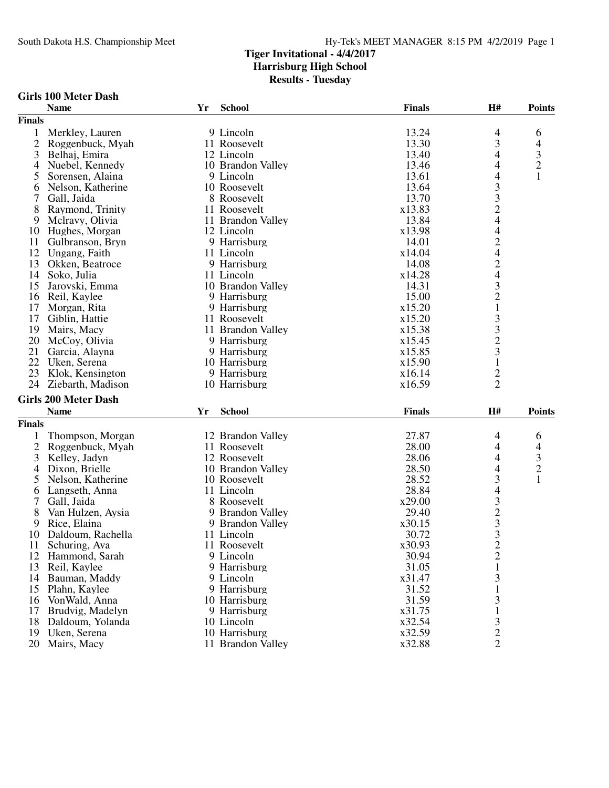|  |  | Girls 100 Meter Dash |  |
|--|--|----------------------|--|
|--|--|----------------------|--|

|                | <b>Name</b>                 | Yr | <b>School</b>                      | <b>Finals</b>    | H#                                                   | <b>Points</b>                                   |
|----------------|-----------------------------|----|------------------------------------|------------------|------------------------------------------------------|-------------------------------------------------|
| <b>Finals</b>  |                             |    |                                    |                  |                                                      |                                                 |
| 1              | Merkley, Lauren             |    | 9 Lincoln                          | 13.24            | $\overline{4}$                                       | 6                                               |
| $\overline{2}$ | Roggenbuck, Myah            |    | 11 Roosevelt                       | 13.30            | 3                                                    |                                                 |
| 3              | Belhaj, Emira               |    | 12 Lincoln                         | 13.40            | 4                                                    | $\begin{array}{c} 4 \\ 3 \\ 2 \\ 1 \end{array}$ |
| 4              | Nuebel, Kennedy             |    | 10 Brandon Valley                  | 13.46            | 4                                                    |                                                 |
| 5              | Sorensen, Alaina            |    | 9 Lincoln                          | 13.61            | $\overline{\mathcal{L}}$                             |                                                 |
| 6              | Nelson, Katherine           |    | 10 Roosevelt                       | 13.64            |                                                      |                                                 |
| 7              | Gall, Jaida                 |    | 8 Roosevelt                        | 13.70            | $\begin{array}{c} 3 \\ 3 \\ 2 \\ 4 \end{array}$      |                                                 |
| 8              | Raymond, Trinity            |    | 11 Roosevelt                       | x13.83           |                                                      |                                                 |
| 9              | Mclravy, Olivia             |    | 11 Brandon Valley                  | 13.84            |                                                      |                                                 |
| 10             | Hughes, Morgan              |    | 12 Lincoln                         | x13.98           | $\overline{4}$                                       |                                                 |
| 11             | Gulbranson, Bryn            |    | 9 Harrisburg                       | 14.01            |                                                      |                                                 |
| 12             | Ungang, Faith               |    | 11 Lincoln                         | x14.04           | $\frac{2}{4}$                                        |                                                 |
| 13             | Okken, Beatroce             |    | 9 Harrisburg                       | 14.08            |                                                      |                                                 |
| 14             |                             |    |                                    |                  | $\begin{array}{c} 2 \\ 4 \\ 3 \\ 2 \end{array}$      |                                                 |
|                | Soko, Julia                 |    | 11 Lincoln                         | x14.28           |                                                      |                                                 |
| 15             | Jarovski, Emma              |    | 10 Brandon Valley                  | 14.31            |                                                      |                                                 |
| 16             | Reil, Kaylee                |    | 9 Harrisburg                       | 15.00            |                                                      |                                                 |
| 17             | Morgan, Rita                |    | 9 Harrisburg                       | x15.20           | $\mathbf{1}$                                         |                                                 |
| 17             | Giblin, Hattie              |    | 11 Roosevelt                       | x15.20           | 33231                                                |                                                 |
| 19             | Mairs, Macy                 |    | 11 Brandon Valley                  | x15.38           |                                                      |                                                 |
| 20             | McCoy, Olivia               |    | 9 Harrisburg                       | x15.45           |                                                      |                                                 |
| 21             | Garcia, Alayna              |    | 9 Harrisburg                       | x15.85           |                                                      |                                                 |
| 22             | Uken, Serena                |    | 10 Harrisburg                      | x15.90           |                                                      |                                                 |
| 23             | Klok, Kensington            |    | 9 Harrisburg                       | x16.14           | $\frac{2}{2}$                                        |                                                 |
| 24             | Ziebarth, Madison           |    | 10 Harrisburg                      | x16.59           |                                                      |                                                 |
|                | <b>Girls 200 Meter Dash</b> |    |                                    |                  |                                                      |                                                 |
|                | <b>Name</b>                 | Yr | School                             | <b>Finals</b>    | H#                                                   | <b>Points</b>                                   |
|                |                             |    |                                    |                  |                                                      |                                                 |
|                |                             |    |                                    |                  |                                                      |                                                 |
| <b>Finals</b>  |                             |    |                                    |                  |                                                      |                                                 |
| 1              | Thompson, Morgan            |    | 12 Brandon Valley                  | 27.87            | 4                                                    | 6                                               |
| $\overline{c}$ | Roggenbuck, Myah            |    | 11 Roosevelt                       | 28.00            | 4                                                    |                                                 |
| 3              | Kelley, Jadyn               |    | 12 Roosevelt                       | 28.06            | 4                                                    |                                                 |
| $\overline{4}$ | Dixon, Brielle              |    | 10 Brandon Valley                  | 28.50            | 4                                                    |                                                 |
| 5              | Nelson, Katherine           |    | 10 Roosevelt                       | 28.52            | 3                                                    | $\begin{array}{c} 4 \\ 3 \\ 2 \\ 1 \end{array}$ |
| 6              | Langseth, Anna              |    | 11 Lincoln                         | 28.84            | $\overline{\mathcal{L}}$                             |                                                 |
| 7              | Gall, Jaida                 |    | 8 Roosevelt                        | x29.00           |                                                      |                                                 |
| 8              | Van Hulzen, Aysia           |    | 9 Brandon Valley                   | 29.40            |                                                      |                                                 |
| 9              | Rice, Elaina                |    | 9 Brandon Valley                   | x30.15           |                                                      |                                                 |
| 10             | Daldoum, Rachella           |    | 11 Lincoln                         | 30.72            |                                                      |                                                 |
| 11             | Schuring, Ava               |    | 11 Roosevelt                       | x30.93           | $\begin{array}{c} 3 \\ 2 \\ 3 \\ 3 \\ 2 \end{array}$ |                                                 |
| 12             | Hammond, Sarah              |    | 9 Lincoln                          | 30.94            | $\overline{c}$                                       |                                                 |
| 13             | Reil, Kaylee                |    | 9 Harrisburg                       | 31.05            | $\mathbf{1}$                                         |                                                 |
| 14             | Bauman, Maddy               |    | 9 Lincoln                          | x31.47           | 3                                                    |                                                 |
| 15             | Plahn, Kaylee               |    | 9 Harrisburg                       | 31.52            | $\mathbf{1}$                                         |                                                 |
| 16             | VonWald, Anna               |    | 10 Harrisburg                      | 31.59            | 3                                                    |                                                 |
| 17             | Brudvig, Madelyn            |    | 9 Harrisburg                       | x31.75           | $\mathbf{1}$                                         |                                                 |
| 18             | Daldoum, Yolanda            |    | 10 Lincoln                         | x32.54           |                                                      |                                                 |
| 19<br>20       | Uken, Serena<br>Mairs, Macy |    | 10 Harrisburg<br>11 Brandon Valley | x32.59<br>x32.88 | $\frac{3}{2}$<br>$\overline{2}$                      |                                                 |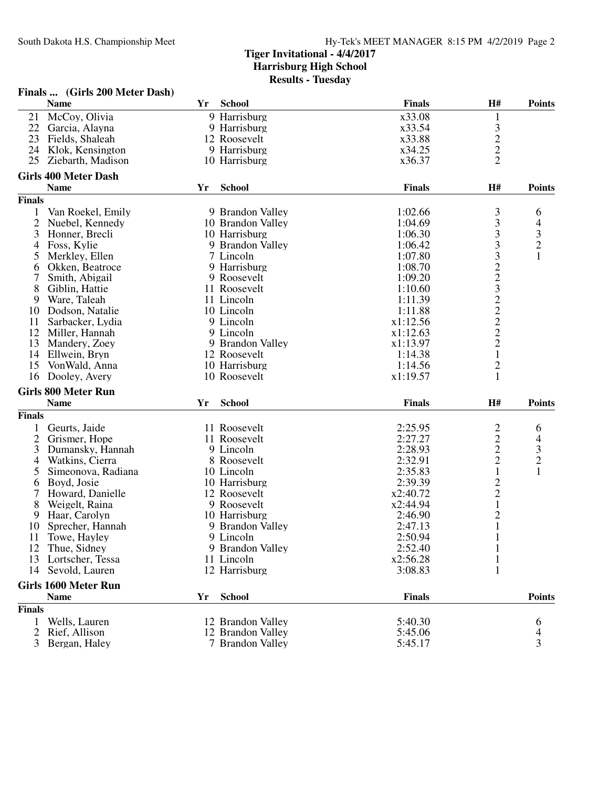|                | Finals  (Girls 200 Meter Dash) |    |                   |               |                         |               |
|----------------|--------------------------------|----|-------------------|---------------|-------------------------|---------------|
|                | <b>Name</b>                    | Yr | <b>School</b>     | <b>Finals</b> | H#                      | <b>Points</b> |
| 21             | McCoy, Olivia                  |    | 9 Harrisburg      | x33.08        | 1                       |               |
| 22             | Garcia, Alayna                 |    | 9 Harrisburg      | x33.54        |                         |               |
| 23             | Fields, Shaleah                |    | 12 Roosevelt      | x33.88        | $\frac{3}{2}$           |               |
| 24             | Klok, Kensington               |    | 9 Harrisburg      | x34.25        |                         |               |
| 25             | Ziebarth, Madison              |    | 10 Harrisburg     | x36.37        | $\overline{2}$          |               |
|                | <b>Girls 400 Meter Dash</b>    |    |                   |               |                         |               |
|                | <b>Name</b>                    | Yr | <b>School</b>     | <b>Finals</b> | H#                      | <b>Points</b> |
| <b>Finals</b>  |                                |    |                   |               |                         |               |
| 1              | Van Roekel, Emily              |    | 9 Brandon Valley  | 1:02.66       | 3                       | 6             |
| $\overline{2}$ | Nuebel, Kennedy                |    | 10 Brandon Valley | 1:04.69       | 3                       | 4             |
| 3              | Honner, Brecli                 |    | 10 Harrisburg     | 1:06.30       | 3                       |               |
| 4              | Foss, Kylie                    |    | 9 Brandon Valley  | 1:06.42       | $\mathfrak{Z}$          | $\frac{3}{2}$ |
| 5              | Merkley, Ellen                 |    | 7 Lincoln         | 1:07.80       |                         | $\mathbf{1}$  |
| 6              | Okken, Beatroce                |    | 9 Harrisburg      | 1:08.70       |                         |               |
|                | Smith, Abigail                 |    | 9 Roosevelt       | 1:09.20       |                         |               |
| 8              | Giblin, Hattie                 |    | 11 Roosevelt      | 1:10.60       | 32232222                |               |
| 9              | Ware, Taleah                   |    | 11 Lincoln        | 1:11.39       |                         |               |
| 10             | Dodson, Natalie                |    | 10 Lincoln        | 1:11.88       |                         |               |
| 11             | Sarbacker, Lydia               |    | 9 Lincoln         | x1:12.56      |                         |               |
| 12             | Miller, Hannah                 |    | 9 Lincoln         | x1:12.63      |                         |               |
| 13             | Mandery, Zoey                  |    | 9 Brandon Valley  | x1:13.97      |                         |               |
| 14             | Ellwein, Bryn                  |    | 12 Roosevelt      | 1:14.38       | $\mathbf{1}$            |               |
| 15             | VonWald, Anna                  |    | 10 Harrisburg     | 1:14.56       | $\overline{c}$          |               |
| 16             | Dooley, Avery                  |    | 10 Roosevelt      | x1:19.57      | $\mathbf{1}$            |               |
|                | <b>Girls 800 Meter Run</b>     |    |                   |               |                         |               |
|                | <b>Name</b>                    | Yr | <b>School</b>     | <b>Finals</b> | H#                      | <b>Points</b> |
| <b>Finals</b>  |                                |    |                   |               |                         |               |
| $\mathbf{1}$   | Geurts, Jaide                  |    | 11 Roosevelt      | 2:25.95       | $\overline{\mathbf{c}}$ | 6             |
| $\overline{2}$ | Grismer, Hope                  |    | 11 Roosevelt      | 2:27.27       | $\overline{c}$          | 4             |
| 3              | Dumansky, Hannah               |    | 9 Lincoln         | 2:28.93       | $\overline{c}$          | $\frac{3}{2}$ |
| 4              | Watkins, Cierra                |    | 8 Roosevelt       | 2:32.91       | $\overline{2}$          |               |
| 5              | Simeonova, Radiana             |    | 10 Lincoln        | 2:35.83       | $\mathbf{1}$            | $\mathbf{1}$  |
| 6              | Boyd, Josie                    |    | 10 Harrisburg     | 2:39.39       | $\frac{2}{2}$           |               |
| 7              | Howard, Danielle               |    | 12 Roosevelt      | x2:40.72      |                         |               |
| 8              | Weigelt, Raina                 |    | 9 Roosevelt       | x2:44.94      | $\mathbf{1}$            |               |
| 9              | Haar, Carolyn                  |    | 10 Harrisburg     | 2:46.90       | $\overline{c}$          |               |
| 10             | Sprecher, Hannah               |    | 9 Brandon Valley  | 2:47.13       | $\mathbf{1}$            |               |
| 11             | Towe, Hayley                   |    | 9 Lincoln         | 2:50.94       | $\mathbf{1}$            |               |
| 12             | Thue, Sidney                   |    | 9 Brandon Valley  | 2:52.40       | 1                       |               |
| 13             | Lortscher, Tessa               |    | 11 Lincoln        | x2:56.28      | 1                       |               |
| 14             | Sevold, Lauren                 |    | 12 Harrisburg     | 3:08.83       | 1                       |               |
|                | <b>Girls 1600 Meter Run</b>    |    |                   |               |                         |               |
|                | <b>Name</b>                    | Yr | <b>School</b>     | <b>Finals</b> |                         | <b>Points</b> |
| <b>Finals</b>  |                                |    |                   |               |                         |               |
| 1              | Wells, Lauren                  |    | 12 Brandon Valley | 5:40.30       |                         | 6             |
| $\overline{2}$ | Rief, Allison                  |    | 12 Brandon Valley | 5:45.06       |                         | 4             |
| 3              | Bergan, Haley                  |    | 7 Brandon Valley  | 5:45.17       |                         | 3             |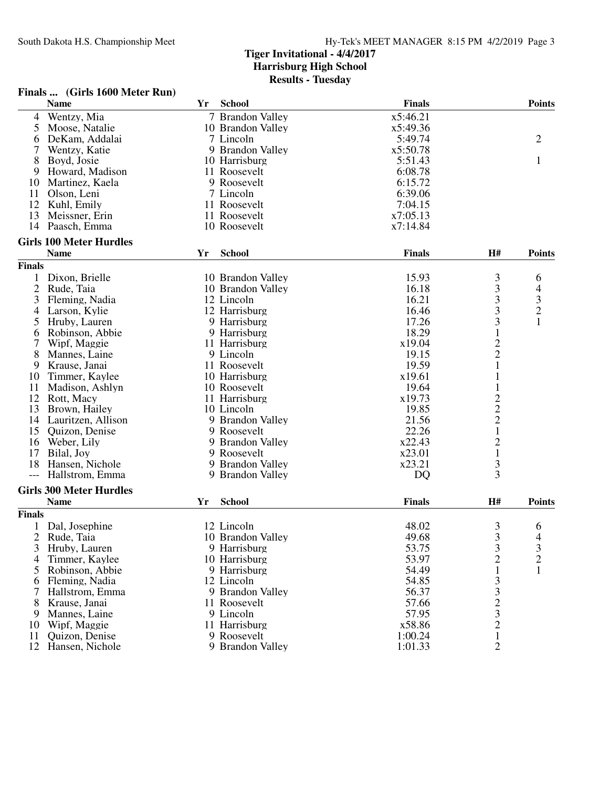#### **Finals ... (Girls 1600 Meter Run)**

|                | <b>Name</b>                    | Yr | <b>School</b>     | <b>Finals</b> |                                                 | <b>Points</b>                              |
|----------------|--------------------------------|----|-------------------|---------------|-------------------------------------------------|--------------------------------------------|
| 4              | Wentzy, Mia                    |    | 7 Brandon Valley  | x5:46.21      |                                                 |                                            |
| 5              | Moose, Natalie                 |    | 10 Brandon Valley | x5:49.36      |                                                 |                                            |
| 6              | DeKam, Addalai                 |    | 7 Lincoln         | 5:49.74       |                                                 | $\overline{2}$                             |
| 7              | Wentzy, Katie                  |    | 9 Brandon Valley  | x5:50.78      |                                                 |                                            |
| 8              | Boyd, Josie                    |    | 10 Harrisburg     | 5:51.43       |                                                 | $\mathbf{1}$                               |
| 9              | Howard, Madison                |    | 11 Roosevelt      | 6:08.78       |                                                 |                                            |
| 10             | Martinez, Kaela                |    | 9 Roosevelt       | 6:15.72       |                                                 |                                            |
| 11             | Olson, Leni                    |    | 7 Lincoln         | 6:39.06       |                                                 |                                            |
| 12             | Kuhl, Emily                    |    | 11 Roosevelt      | 7:04.15       |                                                 |                                            |
| 13             | Meissner, Erin                 |    | 11 Roosevelt      | x7:05.13      |                                                 |                                            |
| 14             | Paasch, Emma                   |    | 10 Roosevelt      | x7:14.84      |                                                 |                                            |
|                |                                |    |                   |               |                                                 |                                            |
|                | <b>Girls 100 Meter Hurdles</b> |    |                   |               |                                                 |                                            |
|                | <b>Name</b>                    | Yr | <b>School</b>     | <b>Finals</b> | H#                                              | <b>Points</b>                              |
| <b>Finals</b>  |                                |    |                   |               |                                                 |                                            |
|                | Dixon, Brielle                 |    | 10 Brandon Valley | 15.93         | $\mathfrak{Z}$                                  | 6                                          |
| $\overline{2}$ | Rude, Taia                     |    | 10 Brandon Valley | 16.18         | $\begin{array}{c} 3 \\ 3 \\ 3 \\ 3 \end{array}$ | 4                                          |
| 3              | Fleming, Nadia                 |    | 12 Lincoln        | 16.21         |                                                 | $\begin{array}{c} 3 \\ 2 \\ 1 \end{array}$ |
| 4              | Larson, Kylie                  |    | 12 Harrisburg     | 16.46         |                                                 |                                            |
| 5              | Hruby, Lauren                  |    | 9 Harrisburg      | 17.26         |                                                 |                                            |
| 6              | Robinson, Abbie                |    | 9 Harrisburg      | 18.29         | $\mathbf{1}$                                    |                                            |
| 7              | Wipf, Maggie                   |    | 11 Harrisburg     | x19.04        |                                                 |                                            |
| 8              | Mannes, Laine                  |    | 9 Lincoln         | 19.15         | $\frac{2}{2}$                                   |                                            |
| 9              | Krause, Janai                  |    | 11 Roosevelt      | 19.59         | $\mathbf 1$                                     |                                            |
| 10             | Timmer, Kaylee                 |    | 10 Harrisburg     | x19.61        | $\mathbf{1}$                                    |                                            |
| 11             | Madison, Ashlyn                |    | 10 Roosevelt      | 19.64         | $\mathbf{1}$                                    |                                            |
| 12             | Rott, Macy                     |    | 11 Harrisburg     | x19.73        |                                                 |                                            |
| 13             | Brown, Hailey                  |    | 10 Lincoln        | 19.85         | $\frac{2}{2}$                                   |                                            |
|                | 14 Lauritzen, Allison          |    | 9 Brandon Valley  | 21.56         |                                                 |                                            |
| 15             | Quizon, Denise                 |    | 9 Roosevelt       | 22.26         | $\mathbf 1$                                     |                                            |
| 16             | Weber, Lily                    |    | 9 Brandon Valley  | x22.43        | $\overline{\mathbf{c}}$                         |                                            |
| 17             | Bilal, Joy                     |    | 9 Roosevelt       | x23.01        | $\mathbf 1$                                     |                                            |
| 18             | Hansen, Nichole                |    | 9 Brandon Valley  | x23.21        | 3                                               |                                            |
|                | Hallstrom, Emma                |    | 9 Brandon Valley  | DQ            | $\overline{3}$                                  |                                            |
|                |                                |    |                   |               |                                                 |                                            |
|                | <b>Girls 300 Meter Hurdles</b> |    |                   |               |                                                 |                                            |
|                | <b>Name</b>                    | Yr | <b>School</b>     | <b>Finals</b> | H#                                              | <b>Points</b>                              |
| <b>Finals</b>  |                                |    |                   |               |                                                 |                                            |
|                | Dal, Josephine                 |    | 12 Lincoln        | 48.02         | 3                                               | 6                                          |
| $\overline{2}$ | Rude, Taia                     |    | 10 Brandon Valley | 49.68         | 3                                               | 4                                          |
| 3              | Hruby, Lauren                  |    | 9 Harrisburg      | 53.75         | 3                                               | 3                                          |
| 4              | Timmer, Kaylee                 |    | 10 Harrisburg     | 53.97         | $\overline{c}$                                  | $\overline{c}$                             |
| 5              | Robinson, Abbie                |    | 9 Harrisburg      | 54.49         | $\mathbf 1$                                     | $\mathbf{1}$                               |
| 6              | Fleming, Nadia                 |    | 12 Lincoln        | 54.85         | 3                                               |                                            |
| 7              | Hallstrom, Emma                |    | 9 Brandon Valley  | 56.37         |                                                 |                                            |
| 8              | Krause, Janai                  |    | 11 Roosevelt      | 57.66         | $\begin{array}{c} 3 \\ 2 \\ 3 \end{array}$      |                                            |
| 9              | Mannes, Laine                  |    | 9 Lincoln         | 57.95         |                                                 |                                            |
| 10             | Wipf, Maggie                   |    | 11 Harrisburg     | x58.86        |                                                 |                                            |
| 11             | Quizon, Denise                 |    | 9 Roosevelt       | 1:00.24       | $\mathbf{1}$                                    |                                            |
| 12             | Hansen, Nichole                |    | 9 Brandon Valley  | 1:01.33       | $\overline{2}$                                  |                                            |
|                |                                |    |                   |               |                                                 |                                            |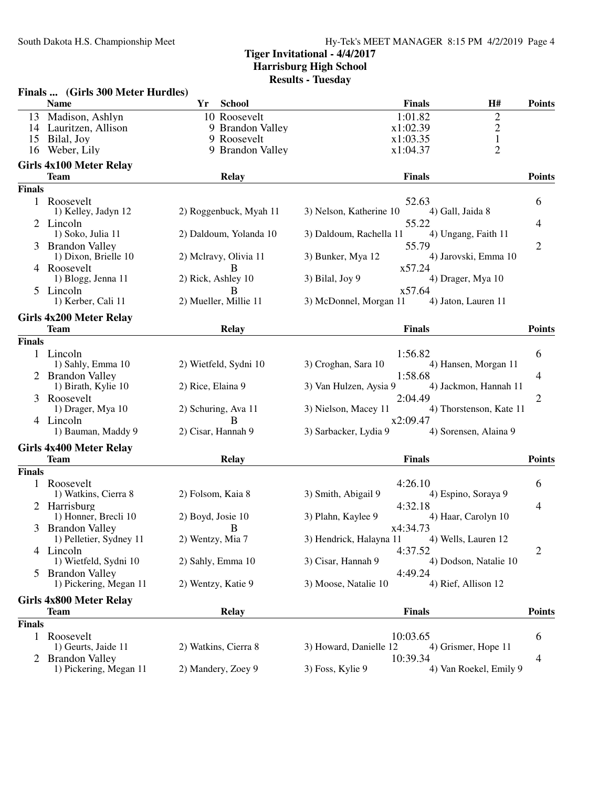|               | Finals  (Girls 300 Meter Hurdles)             |                            |                                   |                         |                |
|---------------|-----------------------------------------------|----------------------------|-----------------------------------|-------------------------|----------------|
|               | <b>Name</b>                                   | <b>School</b><br>Yr        | <b>Finals</b>                     | H#                      | <b>Points</b>  |
| 13            | Madison, Ashlyn                               | 10 Roosevelt               | 1:01.82                           | $\overline{c}$          |                |
|               | 14 Lauritzen, Allison                         | 9 Brandon Valley           | x1:02.39                          | $\overline{c}$          |                |
| 15            | Bilal, Joy                                    | 9 Roosevelt                | x1:03.35                          | $\mathbf{1}$            |                |
| 16            | Weber, Lily                                   | 9 Brandon Valley           | x1:04.37                          | $\overline{2}$          |                |
|               | Girls 4x100 Meter Relay                       |                            |                                   |                         |                |
|               | <b>Team</b>                                   | Relay                      | <b>Finals</b>                     |                         | <b>Points</b>  |
| <b>Finals</b> |                                               |                            |                                   |                         |                |
| $\mathbf{1}$  | Roosevelt                                     |                            | 52.63                             |                         | 6              |
|               | 1) Kelley, Jadyn 12                           | 2) Roggenbuck, Myah 11     | 3) Nelson, Katherine 10           | 4) Gall, Jaida 8        |                |
|               | 2 Lincoln                                     |                            | 55.22                             |                         | 4              |
|               | 1) Soko, Julia 11                             | 2) Daldoum, Yolanda 10     | 3) Daldoum, Rachella 11           | 4) Ungang, Faith 11     |                |
| 3             | <b>Brandon Valley</b><br>1) Dixon, Brielle 10 |                            | 55.79<br>3) Bunker, Mya 12        | 4) Jarovski, Emma 10    | $\overline{2}$ |
|               | 4 Roosevelt                                   | 2) Mclravy, Olivia 11<br>B | x57.24                            |                         |                |
|               | 1) Blogg, Jenna 11                            | 2) Rick, Ashley 10         | 3) Bilal, Joy 9                   | 4) Drager, Mya 10       |                |
|               | 5 Lincoln                                     | B                          | x57.64                            |                         |                |
|               | 1) Kerber, Cali 11                            | 2) Mueller, Millie 11      | 3) McDonnel, Morgan 11            | 4) Jaton, Lauren 11     |                |
|               | Girls 4x200 Meter Relay                       |                            |                                   |                         |                |
|               | <b>Team</b>                                   | Relay                      | <b>Finals</b>                     |                         | <b>Points</b>  |
| <b>Finals</b> |                                               |                            |                                   |                         |                |
|               | 1 Lincoln                                     |                            | 1:56.82                           |                         | 6              |
|               | 1) Sahly, Emma 10                             | 2) Wietfeld, Sydni 10      | 3) Croghan, Sara 10               | 4) Hansen, Morgan 11    |                |
|               | 2 Brandon Valley                              |                            | 1:58.68                           |                         | 4              |
|               | 1) Birath, Kylie 10                           | 2) Rice, Elaina 9          | 3) Van Hulzen, Aysia 9            | 4) Jackmon, Hannah 11   |                |
|               | 3 Roosevelt                                   |                            | 2:04.49                           |                         | 2              |
|               | 1) Drager, Mya 10                             | 2) Schuring, Ava 11        | 3) Nielson, Macey 11              | 4) Thorstenson, Kate 11 |                |
|               | 4 Lincoln<br>1) Bauman, Maddy 9               | в<br>2) Cisar, Hannah 9    | x2:09.47<br>3) Sarbacker, Lydia 9 | 4) Sorensen, Alaina 9   |                |
|               |                                               |                            |                                   |                         |                |
|               | <b>Girls 4x400 Meter Relay</b>                |                            |                                   |                         |                |
|               | <b>Team</b>                                   | <b>Relay</b>               | <b>Finals</b>                     |                         | <b>Points</b>  |
| <b>Finals</b> |                                               |                            |                                   |                         |                |
|               | 1 Roosevelt                                   |                            | 4:26.10                           |                         | 6              |
|               | 1) Watkins, Cierra 8                          | 2) Folsom, Kaia 8          | 3) Smith, Abigail 9               | 4) Espino, Soraya 9     |                |
|               | 2 Harrisburg<br>1) Honner, Brecli 10          | 2) Boyd, Josie 10          | 4:32.18<br>3) Plahn, Kaylee 9     | 4) Haar, Carolyn 10     | 4              |
|               | 3 Brandon Valley                              | B.                         | x4:34.73                          |                         |                |
|               | 1) Pelletier, Sydney 11                       | 2) Wentzy, Mia 7           | 3) Hendrick, Halayna 11           | 4) Wells, Lauren 12     |                |
|               | 4 Lincoln                                     |                            | 4:37.52                           |                         | 2              |
|               | 1) Wietfeld, Sydni 10                         | 2) Sahly, Emma 10          | 3) Cisar, Hannah 9                | 4) Dodson, Natalie 10   |                |
|               | <b>Brandon Valley</b>                         |                            | 4:49.24                           |                         |                |
|               | 1) Pickering, Megan 11                        | 2) Wentzy, Katie 9         | 3) Moose, Natalie 10              | 4) Rief, Allison 12     |                |
|               | Girls 4x800 Meter Relay                       |                            |                                   |                         |                |
|               | <b>Team</b>                                   | <b>Relay</b>               | <b>Finals</b>                     |                         | <b>Points</b>  |
| <b>Finals</b> |                                               |                            |                                   |                         |                |
| 1             | Roosevelt                                     |                            | 10:03.65                          |                         | 6              |
|               | 1) Geurts, Jaide 11                           | 2) Watkins, Cierra 8       | 3) Howard, Danielle 12            | 4) Grismer, Hope 11     |                |
|               | <b>Brandon Valley</b>                         |                            | 10:39.34                          |                         | 4              |
|               | 1) Pickering, Megan 11                        | 2) Mandery, Zoey 9         | 3) Foss, Kylie 9                  | 4) Van Roekel, Emily 9  |                |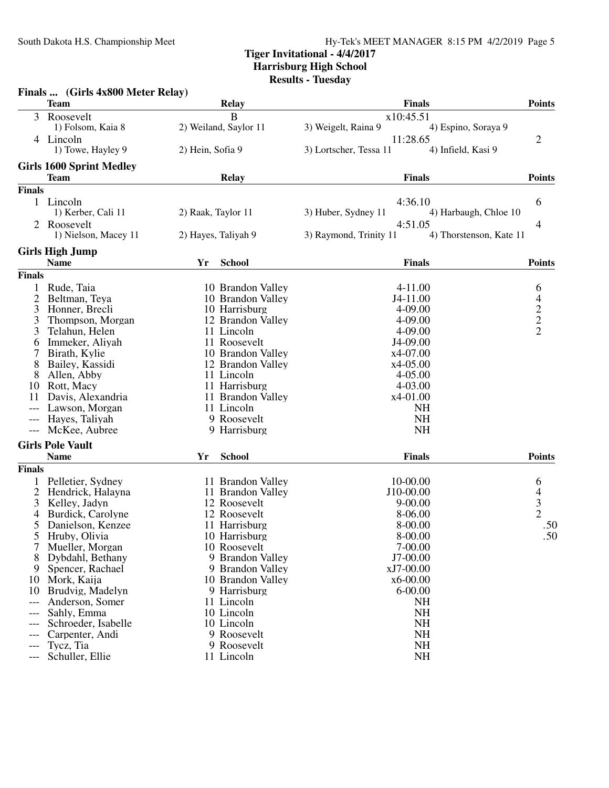#### **Tiger Invitational - 4/4/2017 Harrisburg High School**

**Results - Tuesday**

|                | Finals  (Girls 4x800 Meter Relay) |                       |                                                   |                                                 |
|----------------|-----------------------------------|-----------------------|---------------------------------------------------|-------------------------------------------------|
|                | <b>Team</b>                       | <b>Relay</b>          | <b>Finals</b>                                     | <b>Points</b>                                   |
| 3              | Roosevelt                         | $\overline{B}$        | x10:45.51                                         |                                                 |
|                | 1) Folsom, Kaia 8                 | 2) Weiland, Saylor 11 | 3) Weigelt, Raina 9<br>4) Espino, Soraya 9        |                                                 |
|                | 4 Lincoln                         |                       | 11:28.65                                          | 2                                               |
|                | 1) Towe, Hayley 9                 | 2) Hein, Sofia 9      | 4) Infield, Kasi 9<br>3) Lortscher, Tessa 11      |                                                 |
|                | <b>Girls 1600 Sprint Medley</b>   |                       |                                                   |                                                 |
|                | <b>Team</b>                       | <b>Relay</b>          | <b>Finals</b>                                     | <b>Points</b>                                   |
| <b>Finals</b>  |                                   |                       |                                                   |                                                 |
|                | 1 Lincoln                         |                       | 4:36.10                                           | 6                                               |
|                | 1) Kerber, Cali 11                | 2) Raak, Taylor 11    | 3) Huber, Sydney 11<br>4) Harbaugh, Chloe 10      |                                                 |
| 2              | Roosevelt                         |                       | 4:51.05                                           | 4                                               |
|                | 1) Nielson, Macey 11              | 2) Hayes, Taliyah 9   | 3) Raymond, Trinity 11<br>4) Thorstenson, Kate 11 |                                                 |
|                | <b>Girls High Jump</b>            |                       |                                                   |                                                 |
|                | <b>Name</b>                       | <b>School</b><br>Yr   | <b>Finals</b>                                     | <b>Points</b>                                   |
| <b>Finals</b>  |                                   |                       |                                                   |                                                 |
| 1              | Rude, Taia                        | 10 Brandon Valley     | $4 - 11.00$                                       | 6                                               |
| $\overline{2}$ | Beltman, Teya                     | 10 Brandon Valley     | J4-11.00                                          |                                                 |
| 3              | Honner, Brecli                    | 10 Harrisburg         | 4-09.00                                           | $\begin{array}{c} 4 \\ 2 \\ 2 \\ 2 \end{array}$ |
| 3              | Thompson, Morgan                  | 12 Brandon Valley     | 4-09.00                                           |                                                 |
| 3              | Telahun, Helen                    | 11 Lincoln            | 4-09.00                                           |                                                 |
| 6              | Immeker, Aliyah                   | 11 Roosevelt          | J4-09.00                                          |                                                 |
| 7              | Birath, Kylie                     | 10 Brandon Valley     | x4-07.00                                          |                                                 |
| 8              | Bailey, Kassidi                   | 12 Brandon Valley     | x4-05.00                                          |                                                 |
| 8              | Allen, Abby                       | 11 Lincoln            | $4 - 05.00$                                       |                                                 |
| 10             | Rott, Macy                        | 11 Harrisburg         | 4-03.00                                           |                                                 |
| 11             | Davis, Alexandria                 | 11 Brandon Valley     | x4-01.00                                          |                                                 |
| $---$          | Lawson, Morgan                    | 11 Lincoln            | <b>NH</b>                                         |                                                 |
| ---            | Hayes, Taliyah                    | 9 Roosevelt           | <b>NH</b>                                         |                                                 |
| $---$          | McKee, Aubree                     | 9 Harrisburg          | <b>NH</b>                                         |                                                 |
|                | <b>Girls Pole Vault</b>           |                       |                                                   |                                                 |
|                | <b>Name</b>                       | <b>School</b><br>Yr   | <b>Finals</b>                                     | <b>Points</b>                                   |
| <b>Finals</b>  |                                   |                       |                                                   |                                                 |
|                | Pelletier, Sydney                 | 11 Brandon Valley     | 10-00.00                                          | 6                                               |
| 2              | Hendrick, Halayna                 | 11 Brandon Valley     | J10-00.00                                         |                                                 |
| 3              | Kelley, Jadyn                     | 12 Roosevelt          | $9 - 00.00$                                       |                                                 |
| 4              | Burdick, Carolyne                 | 12 Roosevelt          | 8-06.00                                           | $\begin{array}{c} 4 \\ 3 \\ 2 \end{array}$      |
| 5              | Danielson, Kenzee                 | 11 Harrisburg         | 8-00.00                                           | .50                                             |
| C              | Hruby, Olivia                     | 10 Harrisburg         | 8-00.00                                           | .50                                             |
| 7              | Mueller, Morgan                   | 10 Roosevelt          | 7-00.00                                           |                                                 |
| 8              | Dybdahl, Bethany                  | 9 Brandon Valley      | J7-00.00                                          |                                                 |
| 9              | Spencer, Rachael                  | 9 Brandon Valley      | xJ7-00.00                                         |                                                 |
| 10             | Mork, Kaija                       | 10 Brandon Valley     | x6-00.00                                          |                                                 |
| 10             | Brudvig, Madelyn                  | 9 Harrisburg          | $6 - 00.00$                                       |                                                 |
| $---$          | Anderson, Somer                   | 11 Lincoln            | <b>NH</b>                                         |                                                 |
|                | Sahly, Emma                       | 10 Lincoln            | <b>NH</b>                                         |                                                 |
|                | Schroeder, Isabelle               | 10 Lincoln            | <b>NH</b>                                         |                                                 |
| ---            | Carpenter, Andi                   | 9 Roosevelt           | NH                                                |                                                 |
|                | Tycz, Tia                         | 9 Roosevelt           | <b>NH</b>                                         |                                                 |
|                | Schuller, Ellie                   | 11 Lincoln            | <b>NH</b>                                         |                                                 |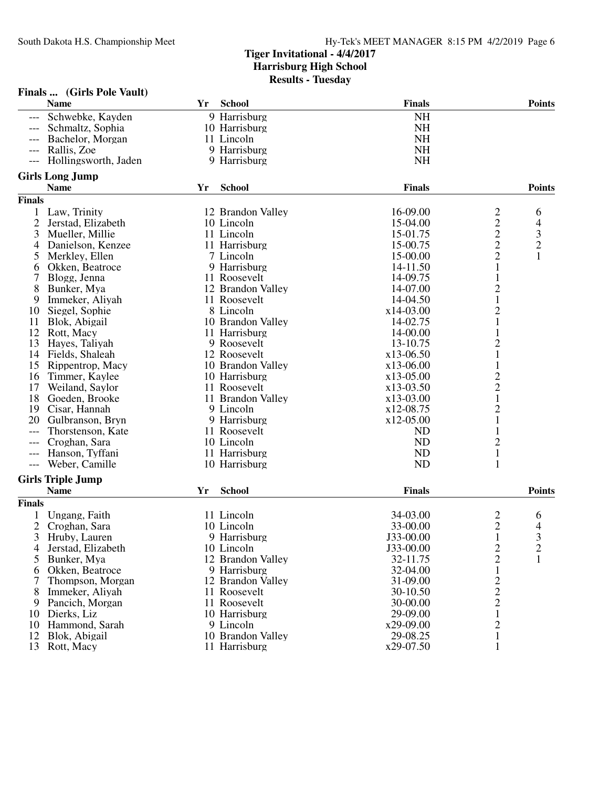|                     | Finals  (Girls Pole Vault)         |    |                                 |               |                                            |                                  |
|---------------------|------------------------------------|----|---------------------------------|---------------|--------------------------------------------|----------------------------------|
|                     | <b>Name</b>                        | Yr | School                          | <b>Finals</b> |                                            | <b>Points</b>                    |
|                     | Schwebke, Kayden                   |    | 9 Harrisburg                    | <b>NH</b>     |                                            |                                  |
|                     | Schmaltz, Sophia                   |    | 10 Harrisburg                   | <b>NH</b>     |                                            |                                  |
|                     | Bachelor, Morgan                   |    | 11 Lincoln                      | <b>NH</b>     |                                            |                                  |
| $---$               | Rallis, Zoe                        |    | 9 Harrisburg                    | <b>NH</b>     |                                            |                                  |
| ---                 | Hollingsworth, Jaden               |    | 9 Harrisburg                    | <b>NH</b>     |                                            |                                  |
|                     | <b>Girls Long Jump</b>             |    |                                 |               |                                            |                                  |
|                     | <b>Name</b>                        | Yr | <b>School</b>                   | <b>Finals</b> |                                            | <b>Points</b>                    |
| <b>Finals</b>       |                                    |    |                                 |               |                                            |                                  |
|                     |                                    |    |                                 | 16-09.00      |                                            |                                  |
| $\overline{2}$      | Law, Trinity<br>Jerstad, Elizabeth |    | 12 Brandon Valley<br>10 Lincoln | 15-04.00      |                                            | 6                                |
| 3                   | Mueller, Millie                    |    | 11 Lincoln                      | 15-01.75      |                                            | 4<br>$\mathfrak{Z}$              |
|                     |                                    |    | 11 Harrisburg                   | 15-00.75      | $\begin{array}{c} 2 \\ 2 \\ 2 \end{array}$ |                                  |
| 4                   | Danielson, Kenzee                  |    |                                 |               |                                            | $\boldsymbol{2}$<br>$\mathbf{1}$ |
| 5                   | Merkley, Ellen                     |    | 7 Lincoln                       | 15-00.00      | $\overline{c}$                             |                                  |
| 6                   | Okken, Beatroce                    |    | 9 Harrisburg                    | 14-11.50      | $\mathbf{1}$                               |                                  |
|                     | Blogg, Jenna                       |    | 11 Roosevelt                    | 14-09.75      | $\mathbf{1}$                               |                                  |
| 8                   | Bunker, Mya                        |    | 12 Brandon Valley               | 14-07.00      | $\overline{c}$                             |                                  |
| 9                   | Immeker, Aliyah                    |    | 11 Roosevelt                    | 14-04.50      | $\mathbf 1$                                |                                  |
| 10                  | Siegel, Sophie                     |    | 8 Lincoln                       | x14-03.00     | $\overline{\mathbf{c}}$                    |                                  |
| 11                  | Blok, Abigail                      |    | 10 Brandon Valley               | 14-02.75      | $\mathbf 1$                                |                                  |
| 12                  | Rott, Macy                         |    | 11 Harrisburg                   | 14-00.00      | $\mathbf{1}$                               |                                  |
| 13                  | Hayes, Taliyah                     |    | 9 Roosevelt                     | 13-10.75      | $\overline{c}$                             |                                  |
| 14                  | Fields, Shaleah                    |    | 12 Roosevelt                    | x13-06.50     | $\mathbf{1}$                               |                                  |
| 15                  | Rippentrop, Macy                   |    | 10 Brandon Valley               | x13-06.00     | $\mathbf 1$                                |                                  |
| 16                  | Timmer, Kaylee                     |    | 10 Harrisburg                   | x13-05.00     | $\overline{\mathbf{c}}$                    |                                  |
| 17                  | Weiland, Saylor                    |    | 11 Roosevelt                    | x13-03.50     | $\frac{2}{1}$                              |                                  |
| 18                  | Goeden, Brooke                     |    | 11 Brandon Valley               | x13-03.00     |                                            |                                  |
| 19                  | Cisar, Hannah                      |    | 9 Lincoln                       | x12-08.75     | $\overline{c}$                             |                                  |
| 20                  | Gulbranson, Bryn                   |    | 9 Harrisburg                    | x12-05.00     | $\,1$                                      |                                  |
|                     | Thorstenson, Kate                  |    | 11 Roosevelt                    | <b>ND</b>     | $\mathbf 1$                                |                                  |
| ---                 | Croghan, Sara                      |    | 10 Lincoln                      | <b>ND</b>     | $\overline{\mathbf{c}}$                    |                                  |
|                     | Hanson, Tyffani                    |    | 11 Harrisburg                   | <b>ND</b>     | $\,1\,$                                    |                                  |
| $\qquad \qquad - -$ | Weber, Camille                     |    | 10 Harrisburg                   | <b>ND</b>     | $\mathbf{1}$                               |                                  |
|                     | <b>Girls Triple Jump</b>           |    |                                 |               |                                            |                                  |
|                     | <b>Name</b>                        | Yr | <b>School</b>                   | <b>Finals</b> |                                            | <b>Points</b>                    |
| Finals              |                                    |    |                                 |               |                                            |                                  |
|                     | Ungang, Faith                      |    | 11 Lincoln                      | 34-03.00      | $\overline{c}$                             | 6                                |
| $\overline{2}$      | Croghan, Sara                      |    | 10 Lincoln                      | 33-00.00      | $\overline{2}$                             | 4                                |
| 3                   | Hruby, Lauren                      |    | 9 Harrisburg                    | J33-00.00     | $\mathbf{1}$                               | 3                                |
| 4                   | Jerstad, Elizabeth                 |    | 10 Lincoln                      | J33-00.00     |                                            | $\boldsymbol{2}$                 |
| 5                   | Bunker, Mya                        |    | 12 Brandon Valley               | 32-11.75      | $\frac{2}{2}$                              | 1                                |
| 6                   | Okken, Beatroce                    |    | 9 Harrisburg                    | 32-04.00      | $\mathbf{1}$                               |                                  |
| 7                   | Thompson, Morgan                   |    | 12 Brandon Valley               | 31-09.00      |                                            |                                  |
| 8                   | Immeker, Aliyah                    |    | 11 Roosevelt                    | 30-10.50      | $\frac{2}{2}$                              |                                  |
| 9                   | Pancich, Morgan                    |    | 11 Roosevelt                    | 30-00.00      |                                            |                                  |
| 10                  | Dierks, Liz                        |    | 10 Harrisburg                   | 29-09.00      | $\mathbf{1}$                               |                                  |
| 10                  | Hammond, Sarah                     |    | 9 Lincoln                       | x29-09.00     | $\overline{c}$                             |                                  |
| 12                  | Blok, Abigail                      |    | 10 Brandon Valley               | 29-08.25      | 1                                          |                                  |
| 13                  | Rott, Macy                         |    | 11 Harrisburg                   | x29-07.50     | 1                                          |                                  |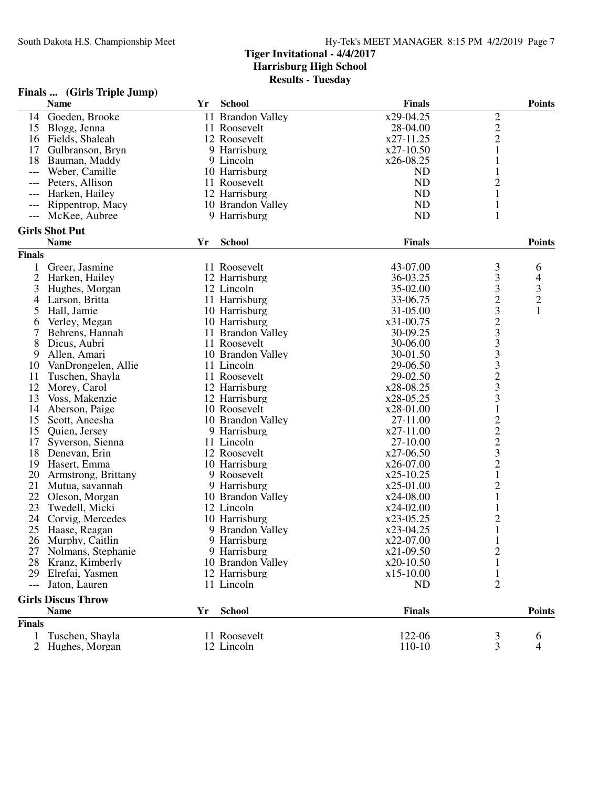#### **Finals ... (Girls Triple Jump)**

|               | <b>Name</b>               | Yr | <b>School</b>     | <b>Finals</b> |                                                   | <b>Points</b> |
|---------------|---------------------------|----|-------------------|---------------|---------------------------------------------------|---------------|
| 14            | Goeden, Brooke            |    | 11 Brandon Valley | x29-04.25     |                                                   |               |
| 15            | Blogg, Jenna              |    | 11 Roosevelt      | 28-04.00      | $\frac{2}{2}$                                     |               |
|               | 16 Fields, Shaleah        |    | 12 Roosevelt      | x27-11.25     |                                                   |               |
| 17            | Gulbranson, Bryn          |    | 9 Harrisburg      | x27-10.50     | $\mathbf{1}$                                      |               |
| 18            | Bauman, Maddy             |    | 9 Lincoln         | x26-08.25     | 1                                                 |               |
| $---$         | Weber, Camille            |    | 10 Harrisburg     | <b>ND</b>     | 1                                                 |               |
| ---           | Peters, Allison           |    | 11 Roosevelt      | ND            | $\overline{c}$                                    |               |
|               | Harken, Hailey            |    | 12 Harrisburg     | ND            | $\mathbf{1}$                                      |               |
|               | Rippentrop, Macy          |    | 10 Brandon Valley | ND            | $\mathbf{1}$                                      |               |
| $---$         | McKee, Aubree             |    | 9 Harrisburg      | ND            | $\mathbf{1}$                                      |               |
|               |                           |    |                   |               |                                                   |               |
|               | <b>Girls Shot Put</b>     |    |                   |               |                                                   |               |
|               | <b>Name</b>               | Yr | <b>School</b>     | <b>Finals</b> |                                                   | <b>Points</b> |
| <b>Finals</b> |                           |    |                   |               |                                                   |               |
| 1             | Greer, Jasmine            |    | 11 Roosevelt      | 43-07.00      | 3                                                 | 6             |
| 2             | Harken, Hailey            |    | 12 Harrisburg     | 36-03.25      | 3                                                 | 4             |
| 3             | Hughes, Morgan            |    | 12 Lincoln        | 35-02.00      | 3                                                 | $\frac{3}{2}$ |
| 4             | Larson, Britta            |    | 11 Harrisburg     | 33-06.75      |                                                   |               |
| 5             | Hall, Jamie               |    | 10 Harrisburg     | 31-05.00      |                                                   | $\mathbf{1}$  |
| 6             | Verley, Megan             |    | 10 Harrisburg     | x31-00.75     |                                                   |               |
| 7             | Behrens, Hannah           |    | 11 Brandon Valley | 30-09.25      |                                                   |               |
| 8             | Dicus, Aubri              |    | 11 Roosevelt      | 30-06.00      | 2323333233                                        |               |
| 9             | Allen, Amari              |    | 10 Brandon Valley | 30-01.50      |                                                   |               |
| 10            | VanDrongelen, Allie       |    | 11 Lincoln        | 29-06.50      |                                                   |               |
| 11            | Tuschen, Shayla           |    | 11 Roosevelt      | 29-02.50      |                                                   |               |
| 12            | Morey, Carol              |    | 12 Harrisburg     | x28-08.25     |                                                   |               |
| 13            | Voss, Makenzie            |    | 12 Harrisburg     | x28-05.25     |                                                   |               |
| 14            | Aberson, Paige            |    | 10 Roosevelt      | x28-01.00     | $\mathbf{1}$                                      |               |
| 15            | Scott, Aneesha            |    | 10 Brandon Valley | 27-11.00      |                                                   |               |
| 15            | Quien, Jersey             |    | 9 Harrisburg      | x27-11.00     |                                                   |               |
| 17            | Syverson, Sienna          |    | 11 Lincoln        | 27-10.00      |                                                   |               |
| 18            | Denevan, Erin             |    | 12 Roosevelt      | $x27-06.50$   | $\begin{array}{c}\n2 \\ 2 \\ 3 \\ 2\n\end{array}$ |               |
| 19            | Hasert, Emma              |    | 10 Harrisburg     | x26-07.00     |                                                   |               |
| 20            | Armstrong, Brittany       |    | 9 Roosevelt       | x25-10.25     | $\mathbf{1}$                                      |               |
| 21            | Mutua, savannah           |    | 9 Harrisburg      | x25-01.00     | $\overline{c}$                                    |               |
| 22            | Oleson, Morgan            |    | 10 Brandon Valley | x24-08.00     | $\mathbf{1}$                                      |               |
| 23            |                           |    | 12 Lincoln        | x24-02.00     | $\mathbf{1}$                                      |               |
| 24            | Twedell, Micki            |    | 10 Harrisburg     |               |                                                   |               |
|               | Corvig, Mercedes          |    |                   | x23-05.25     | $\frac{2}{1}$                                     |               |
| 25            | Haase, Reagan             |    | 9 Brandon Valley  | x23-04.25     | 1                                                 |               |
| 26            | Murphy, Caitlin           |    | 9 Harrisburg      | x22-07.00     |                                                   |               |
|               | 27 Nolmans, Stephanie     |    | 9 Harrisburg      | x21-09.50     | $\overline{c}$                                    |               |
| 28            | Kranz, Kimberly           |    | 10 Brandon Valley | x20-10.50     |                                                   |               |
|               | 29 Elrefai, Yasmen        |    | 12 Harrisburg     | x15-10.00     | $\mathbf{1}$                                      |               |
| $---$         | Jaton, Lauren             |    | 11 Lincoln        | <b>ND</b>     | $\overline{2}$                                    |               |
|               | <b>Girls Discus Throw</b> |    |                   |               |                                                   |               |
|               | <b>Name</b>               | Yr | <b>School</b>     | <b>Finals</b> |                                                   | <b>Points</b> |
| <b>Finals</b> |                           |    |                   |               |                                                   |               |
| 1             | Tuschen, Shayla           |    | 11 Roosevelt      | 122-06        | 3                                                 | 6             |
| 2             | Hughes, Morgan            |    | 12 Lincoln        | 110-10        | 3                                                 | 4             |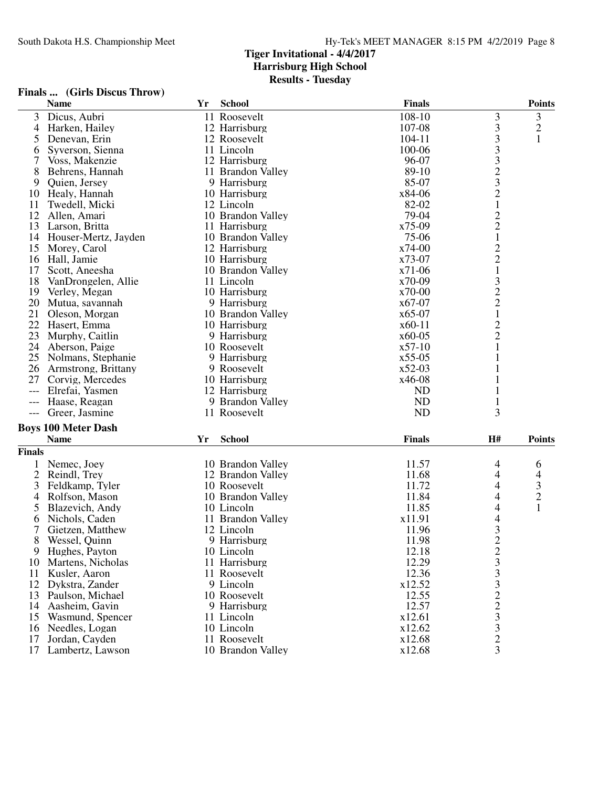## **Finals ... (Girls Discus Throw)**

|                | <b>Name</b>                        | Yr | <b>School</b>     | <b>Finals</b> |                                                 | <b>Points</b> |
|----------------|------------------------------------|----|-------------------|---------------|-------------------------------------------------|---------------|
| 3              | Dicus, Aubri                       |    | 11 Roosevelt      | 108-10        | 3                                               | 3             |
| 4              | Harken, Hailey                     |    | 12 Harrisburg     | 107-08        |                                                 | $\sqrt{2}$    |
| 5              | Denevan, Erin                      |    | 12 Roosevelt      | 104-11        | 333323                                          | $\mathbf{1}$  |
| 6              | Syverson, Sienna                   |    | 11 Lincoln        | 100-06        |                                                 |               |
| 7              | Voss, Makenzie                     |    | 12 Harrisburg     | 96-07         |                                                 |               |
| 8              | Behrens, Hannah                    |    | 11 Brandon Valley | 89-10         |                                                 |               |
| 9              | Quien, Jersey                      |    | 9 Harrisburg      | 85-07         |                                                 |               |
| 10             | Healy, Hannah                      |    | 10 Harrisburg     | x84-06        |                                                 |               |
| 11             | Twedell, Micki                     |    | 12 Lincoln        | 82-02         |                                                 |               |
| 12             | Allen, Amari                       |    | 10 Brandon Valley | 79-04         |                                                 |               |
| 13             | Larson, Britta                     |    | 11 Harrisburg     | x75-09        | $\begin{array}{c} 2 \\ 2 \\ 1 \end{array}$      |               |
| 14             | Houser-Mertz, Jayden               |    | 10 Brandon Valley | 75-06         |                                                 |               |
| 15             | Morey, Carol                       |    | 12 Harrisburg     | $x74-00$      |                                                 |               |
| 16             | Hall, Jamie                        |    | 10 Harrisburg     | x73-07        |                                                 |               |
| 17             | Scott, Aneesha                     |    | 10 Brandon Valley | $x71-06$      | $\begin{smallmatrix}2\\2\\1\end{smallmatrix}$   |               |
| 18             |                                    |    | 11 Lincoln        | $x70-09$      |                                                 |               |
|                | VanDrongelen, Allie                |    |                   | x70-00        |                                                 |               |
| 19             | Verley, Megan                      |    | 10 Harrisburg     |               | $\begin{array}{c} 3 \\ 2 \\ 2 \\ 1 \end{array}$ |               |
| 20             | Mutua, savannah                    |    | 9 Harrisburg      | x67-07        |                                                 |               |
| 21             | Oleson, Morgan                     |    | 10 Brandon Valley | $x65-07$      |                                                 |               |
| 22             | Hasert, Emma                       |    | 10 Harrisburg     | $x60-11$      | $\frac{2}{2}$                                   |               |
| 23             | Murphy, Caitlin                    |    | 9 Harrisburg      | $x60-05$      |                                                 |               |
| 24             | Aberson, Paige                     |    | 10 Roosevelt      | $x57-10$      | $\mathbf{1}$                                    |               |
| 25             | Nolmans, Stephanie                 |    | 9 Harrisburg      | $x55-05$      | 1                                               |               |
| 26             | Armstrong, Brittany                |    | 9 Roosevelt       | $x52-03$      |                                                 |               |
| 27             | Corvig, Mercedes                   |    | 10 Harrisburg     | x46-08        |                                                 |               |
| $---$          | Elrefai, Yasmen                    |    | 12 Harrisburg     | <b>ND</b>     | 1                                               |               |
| ---            | Haase, Reagan                      |    | 9 Brandon Valley  | ND            |                                                 |               |
| $---$          | Greer, Jasmine                     |    | 11 Roosevelt      | <b>ND</b>     | 3                                               |               |
|                | <b>Boys 100 Meter Dash</b>         |    |                   |               |                                                 |               |
|                | <b>Name</b>                        | Yr | <b>School</b>     | <b>Finals</b> | <b>H#</b>                                       | <b>Points</b> |
| <b>Finals</b>  |                                    |    |                   |               |                                                 |               |
| 1              | Nemec, Joey                        |    | 10 Brandon Valley | 11.57         | 4                                               | 6             |
| $\overline{c}$ | Reindl, Trey                       |    | 12 Brandon Valley | 11.68         | 4                                               | 4             |
| 3              | Feldkamp, Tyler                    |    | 10 Roosevelt      | 11.72         | 4                                               |               |
|                | Rolfson, Mason                     |    | 10 Brandon Valley | 11.84         | 4                                               | $\frac{3}{2}$ |
| 4<br>5         |                                    |    | 10 Lincoln        | 11.85         | 4                                               | $\mathbf{1}$  |
|                | Blazevich, Andy                    |    | 11 Brandon Valley | x11.91        |                                                 |               |
| 6              | Nichols, Caden<br>Gietzen, Matthew |    | 12 Lincoln        | 11.96         | $\overline{4}$<br>3                             |               |
| 7              |                                    |    |                   |               | $\overline{2}$                                  |               |
| 8              | Wessel, Quinn                      |    | 9 Harrisburg      | 11.98         |                                                 |               |
| 9              | Hughes, Payton                     |    | 10 Lincoln        | 12.18         |                                                 |               |
| 10             | Martens, Nicholas                  |    | 11 Harrisburg     | 12.29         |                                                 |               |
| 11             | Kusler, Aaron                      |    | 11 Roosevelt      | 12.36         |                                                 |               |
| 12             | Dykstra, Zander                    |    | 9 Lincoln         | x12.52        |                                                 |               |
| 13             | Paulson, Michael                   |    | 10 Roosevelt      | 12.55         | 23332233                                        |               |
| 14             | Aasheim, Gavin                     |    | 9 Harrisburg      | 12.57         |                                                 |               |
| 15             | Wasmund, Spencer                   |    | 11 Lincoln        | x12.61        |                                                 |               |
| 16             | Needles, Logan                     |    | 10 Lincoln        | x12.62        |                                                 |               |
| 17             | Jordan, Cayden                     |    | 11 Roosevelt      | x12.68        |                                                 |               |
| 17             | Lambertz, Lawson                   |    | 10 Brandon Valley | x12.68        |                                                 |               |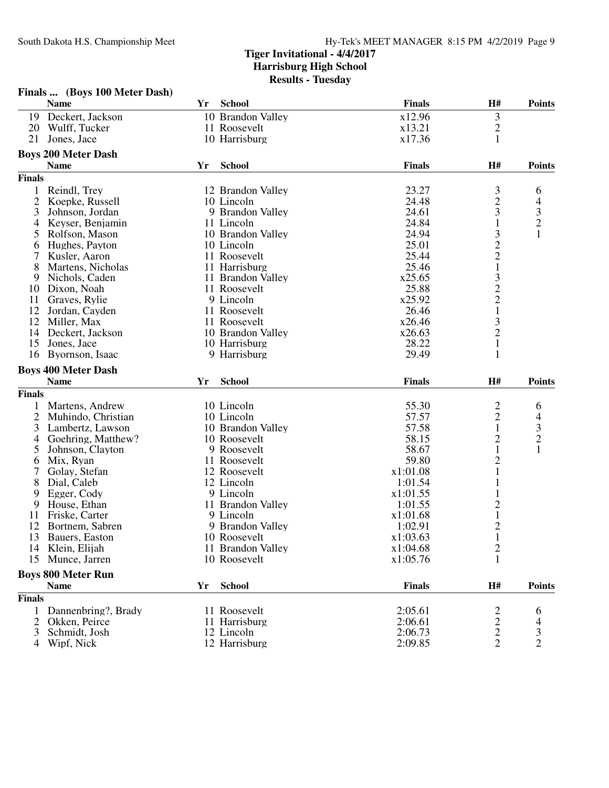|                | Finals  (Boys 100 Meter Dash) |    |                             |                    |                                            |                                                 |
|----------------|-------------------------------|----|-----------------------------|--------------------|--------------------------------------------|-------------------------------------------------|
|                | <b>Name</b>                   | Yr | <b>School</b>               | <b>Finals</b>      | H#                                         | <b>Points</b>                                   |
| 19             | Deckert, Jackson              |    | 10 Brandon Valley           | x12.96             | $\mathfrak{Z}$                             |                                                 |
| 20             | Wulff, Tucker                 |    | 11 Roosevelt                | x13.21             | $\overline{c}$                             |                                                 |
| 21             | Jones, Jace                   |    | 10 Harrisburg               | x17.36             | $\mathbf{1}$                               |                                                 |
|                | <b>Boys 200 Meter Dash</b>    |    |                             |                    |                                            |                                                 |
|                | <b>Name</b>                   | Yr | <b>School</b>               | <b>Finals</b>      | H#                                         | <b>Points</b>                                   |
| <b>Finals</b>  |                               |    |                             |                    |                                            |                                                 |
| $\mathbf{1}$   | Reindl, Trey                  |    | 12 Brandon Valley           | 23.27              |                                            | 6                                               |
| 2              | Koepke, Russell               |    | 10 Lincoln                  | 24.48              | $\frac{3}{2}$                              |                                                 |
| 3              | Johnson, Jordan               |    | 9 Brandon Valley            | 24.61              |                                            |                                                 |
| 4              | Keyser, Benjamin              |    | 11 Lincoln                  | 24.84              | $\mathbf{1}$                               |                                                 |
| 5              | Rolfson, Mason                |    | 10 Brandon Valley           | 24.94              |                                            | $\begin{array}{c} 4 \\ 3 \\ 2 \\ 1 \end{array}$ |
| 6              | Hughes, Payton                |    | 10 Lincoln                  | 25.01              | $3221$<br>$322$<br>$1$                     |                                                 |
| 7              | Kusler, Aaron                 |    | 11 Roosevelt                | 25.44              |                                            |                                                 |
| 8              | Martens, Nicholas             |    | 11 Harrisburg               | 25.46              |                                            |                                                 |
| 9              | Nichols, Caden                |    | 11 Brandon Valley           | x25.65             |                                            |                                                 |
| 10             | Dixon, Noah                   |    | 11 Roosevelt                | 25.88              |                                            |                                                 |
| 11             | Graves, Rylie                 |    | 9 Lincoln                   | x25.92             |                                            |                                                 |
| 12             | Jordan, Cayden                |    | 11 Roosevelt                | 26.46              |                                            |                                                 |
| 12             | Miller, Max                   |    | 11 Roosevelt                | x26.46             |                                            |                                                 |
| 14             | Deckert, Jackson              |    | 10 Brandon Valley           | x26.63             | $\frac{3}{2}$                              |                                                 |
| 15             | Jones, Jace                   |    | 10 Harrisburg               | 28.22              | $\mathbf{1}$                               |                                                 |
| 16             | Byornson, Isaac               |    | 9 Harrisburg                | 29.49              | 1                                          |                                                 |
|                |                               |    |                             |                    |                                            |                                                 |
|                | <b>Boys 400 Meter Dash</b>    |    |                             |                    |                                            |                                                 |
|                |                               |    |                             |                    |                                            |                                                 |
|                | <b>Name</b>                   | Yr | <b>School</b>               | <b>Finals</b>      | H#                                         | <b>Points</b>                                   |
| <b>Finals</b>  |                               |    |                             |                    |                                            |                                                 |
|                | Martens, Andrew               |    | 10 Lincoln                  | 55.30              |                                            | 6                                               |
| $\overline{2}$ | Muhindo, Christian            |    | 10 Lincoln                  | 57.57              |                                            |                                                 |
| 3              | Lambertz, Lawson              |    | 10 Brandon Valley           | 57.58              | $\begin{array}{c} 2 \\ 2 \\ 1 \end{array}$ |                                                 |
| 4              | Goehring, Matthew?            |    | 10 Roosevelt                | 58.15              | $\overline{c}$                             |                                                 |
| 5              | Johnson, Clayton              |    | 9 Roosevelt                 | 58.67              | $\mathbf{1}$                               | $\begin{array}{c} 4 \\ 3 \\ 2 \\ 1 \end{array}$ |
| 6              | Mix, Ryan                     |    | 11 Roosevelt                | 59.80              | $\overline{c}$                             |                                                 |
|                | Golay, Stefan                 |    | 12 Roosevelt                | x1:01.08           | $\mathbf{1}$                               |                                                 |
| 8              | Dial, Caleb                   |    | 12 Lincoln                  | 1:01.54            | 1                                          |                                                 |
| 9              | Egger, Cody                   |    | 9 Lincoln                   | x1:01.55           | 1                                          |                                                 |
| 9              | House, Ethan                  |    | 11 Brandon Valley           | 1:01.55            | $\overline{c}$                             |                                                 |
| 11             | Friske, Carter                |    | 9 Lincoln                   | x1:01.68           | $\mathbf{1}$                               |                                                 |
| 12             | Bortnem, Sabren               |    | 9 Brandon Valley            | 1:02.91            | $\overline{c}$                             |                                                 |
| 13             | Bauers, Easton                |    | 10 Roosevelt                | x1:03.63           | $\mathbf{1}$                               |                                                 |
| 14             | Klein, Elijah                 |    | 11 Brandon Valley           | x1:04.68           | $\overline{\mathbf{c}}$                    |                                                 |
| 15             | Munce, Jarren                 |    | 10 Roosevelt                | x1:05.76           | 1                                          |                                                 |
|                | <b>Boys 800 Meter Run</b>     |    |                             |                    |                                            |                                                 |
|                | <b>Name</b>                   | Yr | <b>School</b>               | <b>Finals</b>      | H#                                         | <b>Points</b>                                   |
| <b>Finals</b>  |                               |    |                             |                    |                                            |                                                 |
|                | Dannenbring?, Brady           |    | 11 Roosevelt                | 2:05.61            | 2                                          | 6                                               |
| 2              | Okken, Peirce                 |    | 11 Harrisburg               | 2:06.61            | $\overline{c}$                             | 4                                               |
| 3<br>4         | Schmidt, Josh<br>Wipf, Nick   |    | 12 Lincoln<br>12 Harrisburg | 2:06.73<br>2:09.85 | $\overline{c}$<br>$\overline{2}$           | 3<br>$\overline{2}$                             |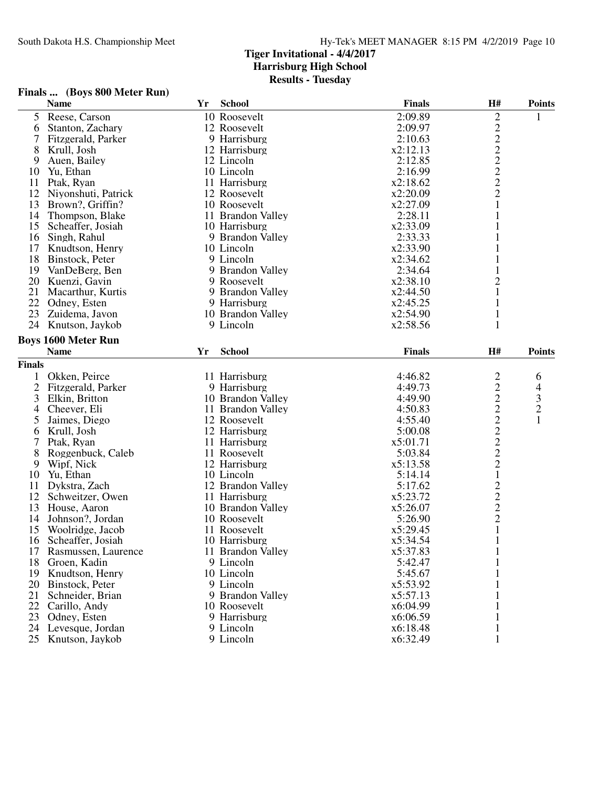## **Finals ... (Boys 800 Meter Run)**

|               | <b>Name</b>                | Yr | <b>School</b>     | <b>Finals</b> | H#                                                | <b>Points</b>           |
|---------------|----------------------------|----|-------------------|---------------|---------------------------------------------------|-------------------------|
| 5             | Reese, Carson              |    | 10 Roosevelt      | 2:09.89       |                                                   |                         |
| 6             | Stanton, Zachary           |    | 12 Roosevelt      | 2:09.97       | 22222221                                          |                         |
| 7             | Fitzgerald, Parker         |    | 9 Harrisburg      | 2:10.63       |                                                   |                         |
| 8             | Krull, Josh                |    | 12 Harrisburg     | x2:12.13      |                                                   |                         |
| 9             | Auen, Bailey               |    | 12 Lincoln        | 2:12.85       |                                                   |                         |
| 10            | Yu, Ethan                  |    | 10 Lincoln        | 2:16.99       |                                                   |                         |
| 11            | Ptak, Ryan                 |    | 11 Harrisburg     | x2:18.62      |                                                   |                         |
| 12            | Niyonshuti, Patrick        |    | 12 Roosevelt      | x2:20.09      |                                                   |                         |
| 13            | Brown?, Griffin?           |    | 10 Roosevelt      | x2:27.09      |                                                   |                         |
| 14            | Thompson, Blake            |    | 11 Brandon Valley | 2:28.11       | $\mathbf{1}$                                      |                         |
| 15            | Scheaffer, Josiah          |    | 10 Harrisburg     | x2:33.09      | 1                                                 |                         |
| 16            | Singh, Rahul               |    | 9 Brandon Valley  | 2:33.33       | $\mathbf{1}$                                      |                         |
| 17            | Knudtson, Henry            |    | 10 Lincoln        | x2:33.90      | 1                                                 |                         |
| 18            | Binstock, Peter            |    | 9 Lincoln         | x2:34.62      | 1                                                 |                         |
| 19            | VanDeBerg, Ben             |    | 9 Brandon Valley  | 2:34.64       |                                                   |                         |
| 20            | Kuenzi, Gavin              |    | 9 Roosevelt       | x2:38.10      | $\overline{2}$                                    |                         |
| 21            | Macarthur, Kurtis          |    | 9 Brandon Valley  | x2:44.50      | 1                                                 |                         |
| 22            | Odney, Esten               |    | 9 Harrisburg      | x2:45.25      | $\mathbf{1}$                                      |                         |
| 23            | Zuidema, Javon             |    | 10 Brandon Valley | x2:54.90      | $\mathbf{1}$                                      |                         |
|               | 24 Knutson, Jaykob         |    | 9 Lincoln         | x2:58.56      | $\mathbf{1}$                                      |                         |
|               |                            |    |                   |               |                                                   |                         |
|               | <b>Boys 1600 Meter Run</b> |    |                   |               |                                                   |                         |
|               | <b>Name</b>                | Yr | <b>School</b>     | <b>Finals</b> | H#                                                | <b>Points</b>           |
| <b>Finals</b> |                            |    |                   |               |                                                   |                         |
| 1             | Okken, Peirce              |    | 11 Harrisburg     | 4:46.82       | 222222222                                         | 6                       |
| $\mathbf{2}$  | Fitzgerald, Parker         |    | 9 Harrisburg      | 4:49.73       |                                                   | 4                       |
| 3             | Elkin, Britton             |    | 10 Brandon Valley | 4:49.90       |                                                   | $\overline{\mathbf{3}}$ |
| 4             | Cheever, Eli               |    | 11 Brandon Valley | 4:50.83       |                                                   | $\overline{c}$          |
| 5             | Jaimes, Diego              |    | 12 Roosevelt      | 4:55.40       |                                                   | $\mathbf{1}$            |
| 6             | Krull, Josh                |    | 12 Harrisburg     | 5:00.08       |                                                   |                         |
| 7             | Ptak, Ryan                 |    | 11 Harrisburg     | x5:01.71      |                                                   |                         |
| 8             | Roggenbuck, Caleb          |    | 11 Roosevelt      | 5:03.84       |                                                   |                         |
| 9             | Wipf, Nick                 |    | 12 Harrisburg     | x5:13.58      |                                                   |                         |
| 10            | Yu, Ethan                  |    | 10 Lincoln        | 5:14.14       | $\mathbf{1}$                                      |                         |
| 11            | Dykstra, Zach              |    | 12 Brandon Valley | 5:17.62       |                                                   |                         |
| 12            | Schweitzer, Owen           |    | 11 Harrisburg     | x5:23.72      | $\begin{array}{c}\n2 \\ 2 \\ 2 \\ 1\n\end{array}$ |                         |
| 13            | House, Aaron               |    | 10 Brandon Valley | x5:26.07      |                                                   |                         |
| 14            | Johnson?, Jordan           |    | 10 Roosevelt      | 5:26.90       |                                                   |                         |
| 15            | Woolridge, Jacob           |    | 11 Roosevelt      | x5:29.45      |                                                   |                         |
| 16            | Scheaffer, Josiah          |    | 10 Harrisburg     | x5:34.54      | $\mathbf{1}$                                      |                         |
| 17            | Rasmussen, Laurence        |    | 11 Brandon Valley | x5:37.83      | 1                                                 |                         |
| 18            | Groen, Kadin               |    | 9 Lincoln         | 5:42.47       | 1                                                 |                         |
| 19            | Knudtson, Henry            |    | 10 Lincoln        | 5:45.67       |                                                   |                         |
| 20            | Binstock, Peter            |    | 9 Lincoln         | x5:53.92      | 1                                                 |                         |
| 21            | Schneider, Brian           |    | 9 Brandon Valley  | x5:57.13      |                                                   |                         |
| 22            | Carillo, Andy              |    | 10 Roosevelt      | x6:04.99      |                                                   |                         |
| 23            | Odney, Esten               |    | 9 Harrisburg      | x6:06.59      |                                                   |                         |
| 24            | Levesque, Jordan           |    | 9 Lincoln         | x6:18.48      |                                                   |                         |
| 25            | Knutson, Jaykob            |    | 9 Lincoln         | x6:32.49      | 1                                                 |                         |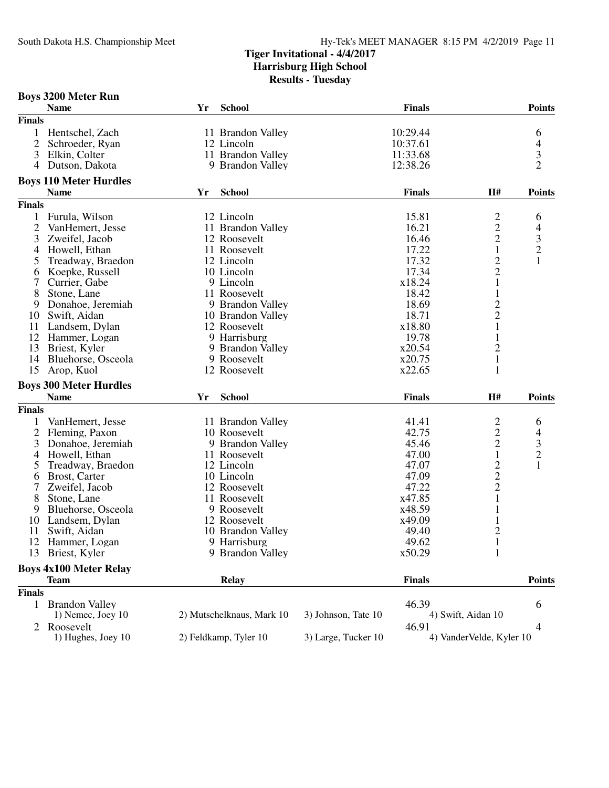|                | <b>Boys 3200 Meter Run</b>    |    |                           |                     |               |                          |                          |
|----------------|-------------------------------|----|---------------------------|---------------------|---------------|--------------------------|--------------------------|
|                | <b>Name</b>                   | Yr | <b>School</b>             |                     | <b>Finals</b> |                          | <b>Points</b>            |
| <b>Finals</b>  |                               |    |                           |                     |               |                          |                          |
| 1              | Hentschel, Zach               |    | 11 Brandon Valley         |                     | 10:29.44      |                          | 6                        |
| 2              | Schroeder, Ryan               |    | 12 Lincoln                |                     | 10:37.61      |                          |                          |
| 3              | Elkin, Colter                 |    | 11 Brandon Valley         |                     | 11:33.68      |                          | $rac{4}{3}$              |
| 4              | Dutson, Dakota                |    | 9 Brandon Valley          |                     | 12:38.26      |                          | $\overline{2}$           |
|                | <b>Boys 110 Meter Hurdles</b> |    |                           |                     |               |                          |                          |
|                | <b>Name</b>                   | Yr | <b>School</b>             |                     | <b>Finals</b> | H#                       | <b>Points</b>            |
| <b>Finals</b>  |                               |    |                           |                     |               |                          |                          |
| $\mathbf{1}$   | Furula, Wilson                |    | 12 Lincoln                |                     | 15.81         |                          | 6                        |
| 2              | VanHemert, Jesse              |    | 11 Brandon Valley         |                     | 16.21         |                          | $\overline{\mathcal{L}}$ |
| 3              | Zweifel, Jacob                |    | 12 Roosevelt              |                     | 16.46         | $\frac{2}{2}$            |                          |
| $\overline{4}$ | Howell, Ethan                 |    | 11 Roosevelt              |                     | 17.22         | $\mathbf 1$              | $\frac{3}{2}$            |
| 5              | Treadway, Braedon             |    | 12 Lincoln                |                     | 17.32         |                          | $\mathbf{1}$             |
| 6              | Koepke, Russell               |    | 10 Lincoln                |                     | 17.34         | $\frac{2}{2}$            |                          |
| 7              | Currier, Gabe                 |    | 9 Lincoln                 |                     | x18.24        | $\mathbf{1}$             |                          |
| 8              | Stone, Lane                   |    | 11 Roosevelt              |                     | 18.42         | 1                        |                          |
| 9              | Donahoe, Jeremiah             |    | 9 Brandon Valley          |                     | 18.69         |                          |                          |
| 10             | Swift, Aidan                  |    | 10 Brandon Valley         |                     | 18.71         | $\frac{2}{2}$            |                          |
| 11             | Landsem, Dylan                |    | 12 Roosevelt              |                     | x18.80        | $\mathbf{1}$             |                          |
|                | 12 Hammer, Logan              |    | 9 Harrisburg              |                     | 19.78         | $\mathbf{1}$             |                          |
| 13             | Briest, Kyler                 |    | 9 Brandon Valley          |                     | x20.54        | $\overline{c}$           |                          |
| 14             | Bluehorse, Osceola            |    | 9 Roosevelt               |                     | x20.75        | $\mathbf{1}$             |                          |
| 15             | Arop, Kuol                    |    | 12 Roosevelt              |                     | x22.65        | 1                        |                          |
|                | <b>Boys 300 Meter Hurdles</b> |    |                           |                     |               |                          |                          |
|                | <b>Name</b>                   | Yr | <b>School</b>             |                     | <b>Finals</b> | H#                       | <b>Points</b>            |
| <b>Finals</b>  |                               |    |                           |                     |               |                          |                          |
|                | VanHemert, Jesse              |    | 11 Brandon Valley         |                     | 41.41         |                          | 6                        |
| $\overline{2}$ | Fleming, Paxon                |    | 10 Roosevelt              |                     | 42.75         |                          |                          |
| 3              | Donahoe, Jeremiah             |    | 9 Brandon Valley          |                     | 45.46         | $\frac{2}{2}$            | $\frac{4}{3}$            |
| 4              | Howell, Ethan                 |    | 11 Roosevelt              |                     | 47.00         | $\mathbf{1}$             |                          |
| 5              | Treadway, Braedon             |    | 12 Lincoln                |                     | 47.07         |                          | $\mathbf{1}$             |
| 6              | Brost, Carter                 |    | 10 Lincoln                |                     | 47.09         |                          |                          |
| 7              | Zweifel, Jacob                |    | 12 Roosevelt              |                     | 47.22         | $\frac{2}{2}$            |                          |
| 8              | Stone, Lane                   |    | 11 Roosevelt              |                     | x47.85        | $\mathbf{1}$             |                          |
| 9              | Bluehorse, Osceola            |    | 9 Roosevelt               |                     | x48.59        | $\mathbf{1}$             |                          |
| 10             | Landsem, Dylan                |    | 12 Roosevelt              |                     | x49.09        | 1                        |                          |
| 11             | Swift, Aidan                  |    | 10 Brandon Valley         |                     | 49.40         | $\overline{2}$           |                          |
|                | 12 Hammer, Logan              |    | 9 Harrisburg              |                     | 49.62         | $\mathbf{1}$             |                          |
| 13             | Briest, Kyler                 |    | 9 Brandon Valley          |                     | x50.29        | 1                        |                          |
|                | <b>Boys 4x100 Meter Relay</b> |    |                           |                     |               |                          |                          |
|                | <b>Team</b>                   |    | <b>Relay</b>              |                     | <b>Finals</b> |                          | <b>Points</b>            |
| <b>Finals</b>  |                               |    |                           |                     |               |                          |                          |
| 1              | <b>Brandon Valley</b>         |    |                           |                     | 46.39         |                          | 6                        |
|                | 1) Nemec, Joey 10             |    | 2) Mutschelknaus, Mark 10 | 3) Johnson, Tate 10 |               | 4) Swift, Aidan 10       |                          |
| 2              | Roosevelt                     |    |                           |                     | 46.91         |                          | 4                        |
|                | 1) Hughes, Joey 10            |    | 2) Feldkamp, Tyler 10     | 3) Large, Tucker 10 |               | 4) VanderVelde, Kyler 10 |                          |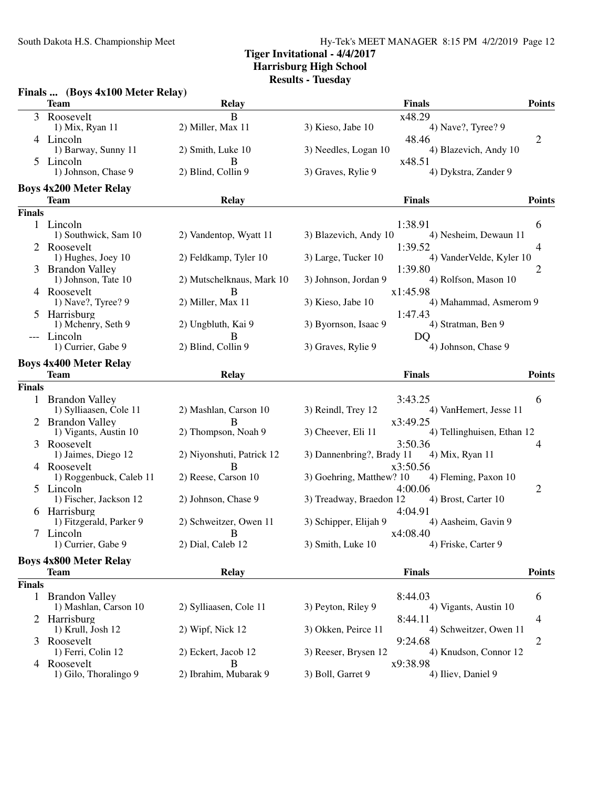South Dakota H.S. Championship Meet Hy-Tek's MEET MANAGER 8:15 PM 4/2/2019 Page 12

## **Tiger Invitational - 4/4/2017 Harrisburg High School**

**Results - Tuesday**

|               | Finals  (Boys 4x100 Meter Relay)             |                           |                                                         |                                          |
|---------------|----------------------------------------------|---------------------------|---------------------------------------------------------|------------------------------------------|
|               | <b>Team</b>                                  | <b>Relay</b>              | <b>Finals</b>                                           | <b>Points</b>                            |
|               | 3 Roosevelt                                  | B                         | x48.29                                                  |                                          |
|               | 1) Mix, Ryan 11                              | 2) Miller, Max 11         | 3) Kieso, Jabe 10<br>4) Nave?, Tyree? 9                 |                                          |
|               | 4 Lincoln                                    |                           | 48.46                                                   | 2                                        |
|               | 1) Barway, Sunny 11                          | 2) Smith, Luke 10         | 3) Needles, Logan 10<br>x48.51                          | 4) Blazevich, Andy 10                    |
| 5.            | Lincoln<br>1) Johnson, Chase 9               | B<br>2) Blind, Collin 9   | 3) Graves, Rylie 9                                      | 4) Dykstra, Zander 9                     |
|               | <b>Boys 4x200 Meter Relay</b>                |                           |                                                         |                                          |
|               | Team                                         | Relay                     | <b>Finals</b>                                           | <b>Points</b>                            |
| <b>Finals</b> |                                              |                           |                                                         |                                          |
|               | 1 Lincoln                                    |                           | 1:38.91                                                 | 6                                        |
|               | 1) Southwick, Sam 10                         | 2) Vandentop, Wyatt 11    | 3) Blazevich, Andy 10                                   | 4) Nesheim, Dewaun 11                    |
|               | Roosevelt                                    |                           | 1:39.52                                                 | 4                                        |
|               | 1) Hughes, Joey 10                           | 2) Feldkamp, Tyler 10     | 3) Large, Tucker 10                                     | 4) VanderVelde, Kyler 10                 |
|               | <b>Brandon Valley</b><br>1) Johnson, Tate 10 | 2) Mutschelknaus, Mark 10 | 1:39.80<br>3) Johnson, Jordan 9                         | 2<br>4) Rolfson, Mason 10                |
|               | 4 Roosevelt                                  | B                         | x1:45.98                                                |                                          |
|               | 1) Nave?, Tyree? 9                           | 2) Miller, Max 11         | 3) Kieso, Jabe 10                                       | 4) Mahammad, Asmerom 9                   |
|               | 5 Harrisburg                                 |                           | 1:47.43                                                 |                                          |
|               | 1) Mchenry, Seth 9                           | 2) Ungbluth, Kai 9        | 3) Byornson, Isaac 9<br>4) Stratman, Ben 9              |                                          |
|               | --- Lincoln                                  | B                         | DQ                                                      |                                          |
|               | 1) Currier, Gabe 9                           | 2) Blind, Collin 9        | 3) Graves, Rylie 9                                      | 4) Johnson, Chase 9                      |
|               | <b>Boys 4x400 Meter Relay</b>                |                           |                                                         |                                          |
|               | <b>Team</b>                                  | <b>Relay</b>              | <b>Finals</b>                                           | <b>Points</b>                            |
| <b>Finals</b> |                                              |                           |                                                         |                                          |
|               | 1 Brandon Valley                             |                           | 3:43.25                                                 | 6                                        |
|               | 1) Sylliaasen, Cole 11                       | 2) Mashlan, Carson 10     | 3) Reindl, Trey 12                                      | 4) VanHemert, Jesse 11                   |
|               | 2 Brandon Valley                             | В                         | x3:49.25                                                |                                          |
|               | 1) Vigants, Austin 10                        | 2) Thompson, Noah 9       | 3) Cheever, Eli 11                                      | 4) Tellinghuisen, Ethan 12               |
| 3             | Roosevelt<br>1) Jaimes, Diego 12             | 2) Niyonshuti, Patrick 12 | 3:50.36<br>3) Dannenbring?, Brady 11<br>4) Mix, Ryan 11 | 4                                        |
|               | 4 Roosevelt                                  | B                         | x3:50.56                                                |                                          |
|               | 1) Roggenbuck, Caleb 11                      | 2) Reese, Carson 10       | 3) Goehring, Matthew? 10                                | 4) Fleming, Paxon 10                     |
|               | 5 Lincoln                                    |                           | 4:00.06                                                 | $\overline{2}$                           |
|               | 1) Fischer, Jackson 12                       | 2) Johnson, Chase 9       | 3) Treadway, Braedon 12<br>4) Brost, Carter 10          |                                          |
|               | 6 Harrisburg                                 |                           | 4:04.91                                                 |                                          |
|               | 1) Fitzgerald, Parker 9                      | 2) Schweitzer, Owen 11    | 3) Schipper, Elijah 9                                   | 4) Aasheim, Gavin 9                      |
|               | 7 Lincoln                                    | $\overline{B}$            | x4:08.40                                                |                                          |
|               | 1) Currier, Gabe 9                           | 2) Dial, Caleb 12         | 3) Smith, Luke 10<br>4) Friske, Carter 9                |                                          |
|               | <b>Boys 4x800 Meter Relay</b>                |                           |                                                         |                                          |
|               | <b>Team</b>                                  | <b>Relay</b>              | <b>Finals</b>                                           | <b>Points</b>                            |
| <b>Finals</b> |                                              |                           |                                                         |                                          |
|               | 1 Brandon Valley                             |                           | 8:44.03                                                 | 6                                        |
|               | 1) Mashlan, Carson 10                        | 2) Sylliaasen, Cole 11    | 3) Peyton, Riley 9                                      | 4) Vigants, Austin 10                    |
|               | 2 Harrisburg                                 |                           | 8:44.11                                                 | 4                                        |
|               | 1) Krull, Josh 12<br>Roosevelt               | 2) Wipf, Nick 12          | 3) Okken, Peirce 11                                     | 4) Schweitzer, Owen 11<br>$\overline{c}$ |
| 3             | 1) Ferri, Colin 12                           | 2) Eckert, Jacob 12       | 9:24.68<br>3) Reeser, Brysen 12                         | 4) Knudson, Connor 12                    |
|               | 4 Roosevelt                                  | B                         | x9:38.98                                                |                                          |
|               | 1) Gilo, Thoralingo 9                        | 2) Ibrahim, Mubarak 9     | 3) Boll, Garret 9<br>4) Iliev, Daniel 9                 |                                          |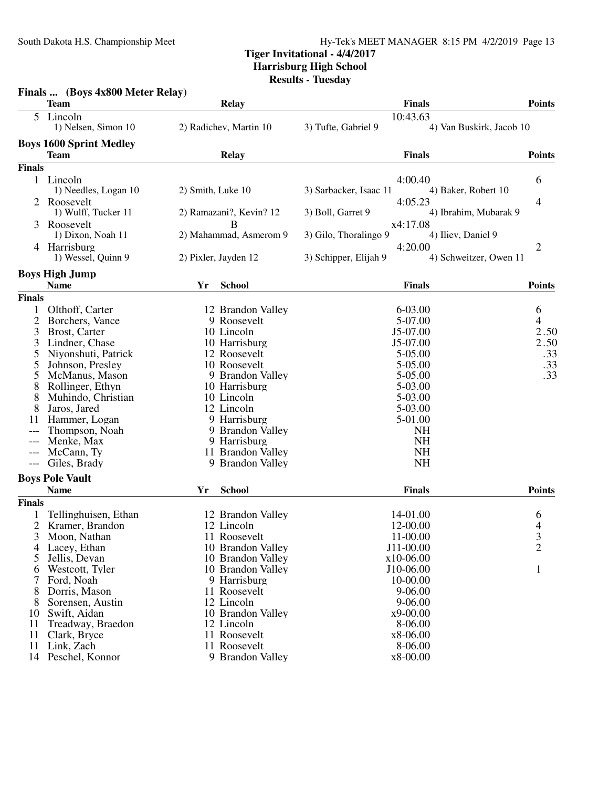South Dakota H.S. Championship Meet Hy-Tek's MEET MANAGER 8:15 PM 4/2/2019 Page 13

# **Tiger Invitational - 4/4/2017**

**Harrisburg High School**

**Results - Tuesday**

| <b>Team</b><br><b>Relay</b><br><b>Finals</b><br><b>Points</b><br>10:43.63<br>5<br>Lincoln<br>1) Nelsen, Simon 10<br>2) Radichev, Martin 10<br>3) Tufte, Gabriel 9<br>4) Van Buskirk, Jacob 10<br><b>Boys 1600 Sprint Medley</b><br><b>Team</b><br><b>Finals</b><br><b>Points</b><br><b>Relay</b><br><b>Finals</b><br>1 Lincoln<br>4:00.40<br>6<br>1) Needles, Logan 10<br>2) Smith, Luke 10<br>4) Baker, Robert 10<br>3) Sarbacker, Isaac 11<br>4:05.23<br>2 Roosevelt<br>4<br>1) Wulff, Tucker 11<br>2) Ramazani?, Kevin? 12<br>3) Boll, Garret 9<br>4) Ibrahim, Mubarak 9<br>Roosevelt<br>x4:17.08<br>В<br>3<br>2) Mahammad, Asmerom 9<br>3) Gilo, Thoralingo 9<br>1) Dixon, Noah 11<br>4) Iliev, Daniel 9<br>4:20.00<br>Harrisburg<br>2<br>4<br>1) Wessel, Quinn 9<br>2) Pixler, Jayden 12<br>3) Schipper, Elijah 9<br>4) Schweitzer, Owen 11<br><b>Boys High Jump</b><br><b>Name</b><br><b>School</b><br><b>Finals</b><br><b>Points</b><br>Yr<br><b>Finals</b><br>Olthoff, Carter<br>6-03.00<br>1<br>12 Brandon Valley<br>6<br>$\overline{c}$<br>Borchers, Vance<br>9 Roosevelt<br>4<br>5-07.00<br>2.50<br>3<br>Brost, Carter<br>J5-07.00<br>10 Lincoln<br>J5-07.00<br>3<br>Lindner, Chase<br>10 Harrisburg<br>5<br>5-05.00<br>Niyonshuti, Patrick<br>12 Roosevelt<br>Johnson, Presley<br>10 Roosevelt<br>5-05.00<br>5<br>McManus, Mason<br>9 Brandon Valley<br>5-05.00<br>5<br>8<br>Rollinger, Ethyn<br>10 Harrisburg<br>5-03.00<br>8<br>Muhindo, Christian<br>10 Lincoln<br>5-03.00<br>5-03.00<br>8<br>Jaros, Jared<br>12 Lincoln<br>5-01.00<br>11<br>Hammer, Logan<br>9 Harrisburg<br>Thompson, Noah<br>9 Brandon Valley<br><b>NH</b><br><b>NH</b><br>Menke, Max<br>9 Harrisburg<br>---<br><b>NH</b><br>McCann, Ty<br>11 Brandon Valley<br>---<br><b>NH</b><br>9 Brandon Valley<br>Giles, Brady<br>---<br><b>Boys Pole Vault</b><br><b>Name</b><br><b>School</b><br><b>Points</b><br><b>Finals</b><br>Yr<br><b>Finals</b><br>Tellinghuisen, Ethan<br>12 Brandon Valley<br>14-01.00<br>6<br>4<br>$\overline{2}$<br>Kramer, Brandon<br>12 Lincoln<br>12-00.00<br>3<br>Moon, Nathan<br>11 Roosevelt<br>11-00.00<br>3<br>$\overline{2}$<br>J11-00.00<br>Lacey, Ethan<br>10 Brandon Valley<br>4<br>Jellis, Devan<br>10 Brandon Valley<br>x10-06.00<br>5<br>J10-06.00<br>Westcott, Tyler<br>10 Brandon Valley<br>1<br>6<br>10-00.00<br>7<br>Ford, Noah<br>9 Harrisburg<br>8<br>Dorris, Mason<br>11 Roosevelt<br>9-06.00<br>12 Lincoln<br>$9 - 06.00$<br>Sorensen, Austin<br>8<br>Swift, Aidan<br>10 Brandon Valley<br>x9-00.00<br>10<br>8-06.00<br>11<br>Treadway, Braedon<br>12 Lincoln<br>11<br>11 Roosevelt<br>x8-06.00<br>Clark, Bryce<br>11<br>Link, Zach<br>11 Roosevelt<br>8-06.00<br>14 Peschel, Konnor<br>9 Brandon Valley<br>x8-00.00 | Finals  (Boys 4x800 Meter Relay) |  |      |
|--------------------------------------------------------------------------------------------------------------------------------------------------------------------------------------------------------------------------------------------------------------------------------------------------------------------------------------------------------------------------------------------------------------------------------------------------------------------------------------------------------------------------------------------------------------------------------------------------------------------------------------------------------------------------------------------------------------------------------------------------------------------------------------------------------------------------------------------------------------------------------------------------------------------------------------------------------------------------------------------------------------------------------------------------------------------------------------------------------------------------------------------------------------------------------------------------------------------------------------------------------------------------------------------------------------------------------------------------------------------------------------------------------------------------------------------------------------------------------------------------------------------------------------------------------------------------------------------------------------------------------------------------------------------------------------------------------------------------------------------------------------------------------------------------------------------------------------------------------------------------------------------------------------------------------------------------------------------------------------------------------------------------------------------------------------------------------------------------------------------------------------------------------------------------------------------------------------------------------------------------------------------------------------------------------------------------------------------------------------------------------------------------------------------------------------------------------------------------------------------------------------------------------------------------------------------------------------------------------------------------------------------------------------------------------------------------------------------------------------------------|----------------------------------|--|------|
|                                                                                                                                                                                                                                                                                                                                                                                                                                                                                                                                                                                                                                                                                                                                                                                                                                                                                                                                                                                                                                                                                                                                                                                                                                                                                                                                                                                                                                                                                                                                                                                                                                                                                                                                                                                                                                                                                                                                                                                                                                                                                                                                                                                                                                                                                                                                                                                                                                                                                                                                                                                                                                                                                                                                                  |                                  |  |      |
|                                                                                                                                                                                                                                                                                                                                                                                                                                                                                                                                                                                                                                                                                                                                                                                                                                                                                                                                                                                                                                                                                                                                                                                                                                                                                                                                                                                                                                                                                                                                                                                                                                                                                                                                                                                                                                                                                                                                                                                                                                                                                                                                                                                                                                                                                                                                                                                                                                                                                                                                                                                                                                                                                                                                                  |                                  |  |      |
|                                                                                                                                                                                                                                                                                                                                                                                                                                                                                                                                                                                                                                                                                                                                                                                                                                                                                                                                                                                                                                                                                                                                                                                                                                                                                                                                                                                                                                                                                                                                                                                                                                                                                                                                                                                                                                                                                                                                                                                                                                                                                                                                                                                                                                                                                                                                                                                                                                                                                                                                                                                                                                                                                                                                                  |                                  |  |      |
|                                                                                                                                                                                                                                                                                                                                                                                                                                                                                                                                                                                                                                                                                                                                                                                                                                                                                                                                                                                                                                                                                                                                                                                                                                                                                                                                                                                                                                                                                                                                                                                                                                                                                                                                                                                                                                                                                                                                                                                                                                                                                                                                                                                                                                                                                                                                                                                                                                                                                                                                                                                                                                                                                                                                                  |                                  |  |      |
|                                                                                                                                                                                                                                                                                                                                                                                                                                                                                                                                                                                                                                                                                                                                                                                                                                                                                                                                                                                                                                                                                                                                                                                                                                                                                                                                                                                                                                                                                                                                                                                                                                                                                                                                                                                                                                                                                                                                                                                                                                                                                                                                                                                                                                                                                                                                                                                                                                                                                                                                                                                                                                                                                                                                                  |                                  |  |      |
|                                                                                                                                                                                                                                                                                                                                                                                                                                                                                                                                                                                                                                                                                                                                                                                                                                                                                                                                                                                                                                                                                                                                                                                                                                                                                                                                                                                                                                                                                                                                                                                                                                                                                                                                                                                                                                                                                                                                                                                                                                                                                                                                                                                                                                                                                                                                                                                                                                                                                                                                                                                                                                                                                                                                                  |                                  |  |      |
|                                                                                                                                                                                                                                                                                                                                                                                                                                                                                                                                                                                                                                                                                                                                                                                                                                                                                                                                                                                                                                                                                                                                                                                                                                                                                                                                                                                                                                                                                                                                                                                                                                                                                                                                                                                                                                                                                                                                                                                                                                                                                                                                                                                                                                                                                                                                                                                                                                                                                                                                                                                                                                                                                                                                                  |                                  |  |      |
|                                                                                                                                                                                                                                                                                                                                                                                                                                                                                                                                                                                                                                                                                                                                                                                                                                                                                                                                                                                                                                                                                                                                                                                                                                                                                                                                                                                                                                                                                                                                                                                                                                                                                                                                                                                                                                                                                                                                                                                                                                                                                                                                                                                                                                                                                                                                                                                                                                                                                                                                                                                                                                                                                                                                                  |                                  |  |      |
|                                                                                                                                                                                                                                                                                                                                                                                                                                                                                                                                                                                                                                                                                                                                                                                                                                                                                                                                                                                                                                                                                                                                                                                                                                                                                                                                                                                                                                                                                                                                                                                                                                                                                                                                                                                                                                                                                                                                                                                                                                                                                                                                                                                                                                                                                                                                                                                                                                                                                                                                                                                                                                                                                                                                                  |                                  |  |      |
|                                                                                                                                                                                                                                                                                                                                                                                                                                                                                                                                                                                                                                                                                                                                                                                                                                                                                                                                                                                                                                                                                                                                                                                                                                                                                                                                                                                                                                                                                                                                                                                                                                                                                                                                                                                                                                                                                                                                                                                                                                                                                                                                                                                                                                                                                                                                                                                                                                                                                                                                                                                                                                                                                                                                                  |                                  |  |      |
|                                                                                                                                                                                                                                                                                                                                                                                                                                                                                                                                                                                                                                                                                                                                                                                                                                                                                                                                                                                                                                                                                                                                                                                                                                                                                                                                                                                                                                                                                                                                                                                                                                                                                                                                                                                                                                                                                                                                                                                                                                                                                                                                                                                                                                                                                                                                                                                                                                                                                                                                                                                                                                                                                                                                                  |                                  |  |      |
|                                                                                                                                                                                                                                                                                                                                                                                                                                                                                                                                                                                                                                                                                                                                                                                                                                                                                                                                                                                                                                                                                                                                                                                                                                                                                                                                                                                                                                                                                                                                                                                                                                                                                                                                                                                                                                                                                                                                                                                                                                                                                                                                                                                                                                                                                                                                                                                                                                                                                                                                                                                                                                                                                                                                                  |                                  |  |      |
|                                                                                                                                                                                                                                                                                                                                                                                                                                                                                                                                                                                                                                                                                                                                                                                                                                                                                                                                                                                                                                                                                                                                                                                                                                                                                                                                                                                                                                                                                                                                                                                                                                                                                                                                                                                                                                                                                                                                                                                                                                                                                                                                                                                                                                                                                                                                                                                                                                                                                                                                                                                                                                                                                                                                                  |                                  |  |      |
|                                                                                                                                                                                                                                                                                                                                                                                                                                                                                                                                                                                                                                                                                                                                                                                                                                                                                                                                                                                                                                                                                                                                                                                                                                                                                                                                                                                                                                                                                                                                                                                                                                                                                                                                                                                                                                                                                                                                                                                                                                                                                                                                                                                                                                                                                                                                                                                                                                                                                                                                                                                                                                                                                                                                                  |                                  |  |      |
|                                                                                                                                                                                                                                                                                                                                                                                                                                                                                                                                                                                                                                                                                                                                                                                                                                                                                                                                                                                                                                                                                                                                                                                                                                                                                                                                                                                                                                                                                                                                                                                                                                                                                                                                                                                                                                                                                                                                                                                                                                                                                                                                                                                                                                                                                                                                                                                                                                                                                                                                                                                                                                                                                                                                                  |                                  |  |      |
|                                                                                                                                                                                                                                                                                                                                                                                                                                                                                                                                                                                                                                                                                                                                                                                                                                                                                                                                                                                                                                                                                                                                                                                                                                                                                                                                                                                                                                                                                                                                                                                                                                                                                                                                                                                                                                                                                                                                                                                                                                                                                                                                                                                                                                                                                                                                                                                                                                                                                                                                                                                                                                                                                                                                                  |                                  |  |      |
|                                                                                                                                                                                                                                                                                                                                                                                                                                                                                                                                                                                                                                                                                                                                                                                                                                                                                                                                                                                                                                                                                                                                                                                                                                                                                                                                                                                                                                                                                                                                                                                                                                                                                                                                                                                                                                                                                                                                                                                                                                                                                                                                                                                                                                                                                                                                                                                                                                                                                                                                                                                                                                                                                                                                                  |                                  |  |      |
|                                                                                                                                                                                                                                                                                                                                                                                                                                                                                                                                                                                                                                                                                                                                                                                                                                                                                                                                                                                                                                                                                                                                                                                                                                                                                                                                                                                                                                                                                                                                                                                                                                                                                                                                                                                                                                                                                                                                                                                                                                                                                                                                                                                                                                                                                                                                                                                                                                                                                                                                                                                                                                                                                                                                                  |                                  |  |      |
|                                                                                                                                                                                                                                                                                                                                                                                                                                                                                                                                                                                                                                                                                                                                                                                                                                                                                                                                                                                                                                                                                                                                                                                                                                                                                                                                                                                                                                                                                                                                                                                                                                                                                                                                                                                                                                                                                                                                                                                                                                                                                                                                                                                                                                                                                                                                                                                                                                                                                                                                                                                                                                                                                                                                                  |                                  |  |      |
|                                                                                                                                                                                                                                                                                                                                                                                                                                                                                                                                                                                                                                                                                                                                                                                                                                                                                                                                                                                                                                                                                                                                                                                                                                                                                                                                                                                                                                                                                                                                                                                                                                                                                                                                                                                                                                                                                                                                                                                                                                                                                                                                                                                                                                                                                                                                                                                                                                                                                                                                                                                                                                                                                                                                                  |                                  |  |      |
|                                                                                                                                                                                                                                                                                                                                                                                                                                                                                                                                                                                                                                                                                                                                                                                                                                                                                                                                                                                                                                                                                                                                                                                                                                                                                                                                                                                                                                                                                                                                                                                                                                                                                                                                                                                                                                                                                                                                                                                                                                                                                                                                                                                                                                                                                                                                                                                                                                                                                                                                                                                                                                                                                                                                                  |                                  |  | 2.50 |
|                                                                                                                                                                                                                                                                                                                                                                                                                                                                                                                                                                                                                                                                                                                                                                                                                                                                                                                                                                                                                                                                                                                                                                                                                                                                                                                                                                                                                                                                                                                                                                                                                                                                                                                                                                                                                                                                                                                                                                                                                                                                                                                                                                                                                                                                                                                                                                                                                                                                                                                                                                                                                                                                                                                                                  |                                  |  | .33  |
|                                                                                                                                                                                                                                                                                                                                                                                                                                                                                                                                                                                                                                                                                                                                                                                                                                                                                                                                                                                                                                                                                                                                                                                                                                                                                                                                                                                                                                                                                                                                                                                                                                                                                                                                                                                                                                                                                                                                                                                                                                                                                                                                                                                                                                                                                                                                                                                                                                                                                                                                                                                                                                                                                                                                                  |                                  |  | .33  |
|                                                                                                                                                                                                                                                                                                                                                                                                                                                                                                                                                                                                                                                                                                                                                                                                                                                                                                                                                                                                                                                                                                                                                                                                                                                                                                                                                                                                                                                                                                                                                                                                                                                                                                                                                                                                                                                                                                                                                                                                                                                                                                                                                                                                                                                                                                                                                                                                                                                                                                                                                                                                                                                                                                                                                  |                                  |  | .33  |
|                                                                                                                                                                                                                                                                                                                                                                                                                                                                                                                                                                                                                                                                                                                                                                                                                                                                                                                                                                                                                                                                                                                                                                                                                                                                                                                                                                                                                                                                                                                                                                                                                                                                                                                                                                                                                                                                                                                                                                                                                                                                                                                                                                                                                                                                                                                                                                                                                                                                                                                                                                                                                                                                                                                                                  |                                  |  |      |
|                                                                                                                                                                                                                                                                                                                                                                                                                                                                                                                                                                                                                                                                                                                                                                                                                                                                                                                                                                                                                                                                                                                                                                                                                                                                                                                                                                                                                                                                                                                                                                                                                                                                                                                                                                                                                                                                                                                                                                                                                                                                                                                                                                                                                                                                                                                                                                                                                                                                                                                                                                                                                                                                                                                                                  |                                  |  |      |
|                                                                                                                                                                                                                                                                                                                                                                                                                                                                                                                                                                                                                                                                                                                                                                                                                                                                                                                                                                                                                                                                                                                                                                                                                                                                                                                                                                                                                                                                                                                                                                                                                                                                                                                                                                                                                                                                                                                                                                                                                                                                                                                                                                                                                                                                                                                                                                                                                                                                                                                                                                                                                                                                                                                                                  |                                  |  |      |
|                                                                                                                                                                                                                                                                                                                                                                                                                                                                                                                                                                                                                                                                                                                                                                                                                                                                                                                                                                                                                                                                                                                                                                                                                                                                                                                                                                                                                                                                                                                                                                                                                                                                                                                                                                                                                                                                                                                                                                                                                                                                                                                                                                                                                                                                                                                                                                                                                                                                                                                                                                                                                                                                                                                                                  |                                  |  |      |
|                                                                                                                                                                                                                                                                                                                                                                                                                                                                                                                                                                                                                                                                                                                                                                                                                                                                                                                                                                                                                                                                                                                                                                                                                                                                                                                                                                                                                                                                                                                                                                                                                                                                                                                                                                                                                                                                                                                                                                                                                                                                                                                                                                                                                                                                                                                                                                                                                                                                                                                                                                                                                                                                                                                                                  |                                  |  |      |
|                                                                                                                                                                                                                                                                                                                                                                                                                                                                                                                                                                                                                                                                                                                                                                                                                                                                                                                                                                                                                                                                                                                                                                                                                                                                                                                                                                                                                                                                                                                                                                                                                                                                                                                                                                                                                                                                                                                                                                                                                                                                                                                                                                                                                                                                                                                                                                                                                                                                                                                                                                                                                                                                                                                                                  |                                  |  |      |
|                                                                                                                                                                                                                                                                                                                                                                                                                                                                                                                                                                                                                                                                                                                                                                                                                                                                                                                                                                                                                                                                                                                                                                                                                                                                                                                                                                                                                                                                                                                                                                                                                                                                                                                                                                                                                                                                                                                                                                                                                                                                                                                                                                                                                                                                                                                                                                                                                                                                                                                                                                                                                                                                                                                                                  |                                  |  |      |
|                                                                                                                                                                                                                                                                                                                                                                                                                                                                                                                                                                                                                                                                                                                                                                                                                                                                                                                                                                                                                                                                                                                                                                                                                                                                                                                                                                                                                                                                                                                                                                                                                                                                                                                                                                                                                                                                                                                                                                                                                                                                                                                                                                                                                                                                                                                                                                                                                                                                                                                                                                                                                                                                                                                                                  |                                  |  |      |
|                                                                                                                                                                                                                                                                                                                                                                                                                                                                                                                                                                                                                                                                                                                                                                                                                                                                                                                                                                                                                                                                                                                                                                                                                                                                                                                                                                                                                                                                                                                                                                                                                                                                                                                                                                                                                                                                                                                                                                                                                                                                                                                                                                                                                                                                                                                                                                                                                                                                                                                                                                                                                                                                                                                                                  |                                  |  |      |
|                                                                                                                                                                                                                                                                                                                                                                                                                                                                                                                                                                                                                                                                                                                                                                                                                                                                                                                                                                                                                                                                                                                                                                                                                                                                                                                                                                                                                                                                                                                                                                                                                                                                                                                                                                                                                                                                                                                                                                                                                                                                                                                                                                                                                                                                                                                                                                                                                                                                                                                                                                                                                                                                                                                                                  |                                  |  |      |
|                                                                                                                                                                                                                                                                                                                                                                                                                                                                                                                                                                                                                                                                                                                                                                                                                                                                                                                                                                                                                                                                                                                                                                                                                                                                                                                                                                                                                                                                                                                                                                                                                                                                                                                                                                                                                                                                                                                                                                                                                                                                                                                                                                                                                                                                                                                                                                                                                                                                                                                                                                                                                                                                                                                                                  |                                  |  |      |
|                                                                                                                                                                                                                                                                                                                                                                                                                                                                                                                                                                                                                                                                                                                                                                                                                                                                                                                                                                                                                                                                                                                                                                                                                                                                                                                                                                                                                                                                                                                                                                                                                                                                                                                                                                                                                                                                                                                                                                                                                                                                                                                                                                                                                                                                                                                                                                                                                                                                                                                                                                                                                                                                                                                                                  |                                  |  |      |
|                                                                                                                                                                                                                                                                                                                                                                                                                                                                                                                                                                                                                                                                                                                                                                                                                                                                                                                                                                                                                                                                                                                                                                                                                                                                                                                                                                                                                                                                                                                                                                                                                                                                                                                                                                                                                                                                                                                                                                                                                                                                                                                                                                                                                                                                                                                                                                                                                                                                                                                                                                                                                                                                                                                                                  |                                  |  |      |
|                                                                                                                                                                                                                                                                                                                                                                                                                                                                                                                                                                                                                                                                                                                                                                                                                                                                                                                                                                                                                                                                                                                                                                                                                                                                                                                                                                                                                                                                                                                                                                                                                                                                                                                                                                                                                                                                                                                                                                                                                                                                                                                                                                                                                                                                                                                                                                                                                                                                                                                                                                                                                                                                                                                                                  |                                  |  |      |
|                                                                                                                                                                                                                                                                                                                                                                                                                                                                                                                                                                                                                                                                                                                                                                                                                                                                                                                                                                                                                                                                                                                                                                                                                                                                                                                                                                                                                                                                                                                                                                                                                                                                                                                                                                                                                                                                                                                                                                                                                                                                                                                                                                                                                                                                                                                                                                                                                                                                                                                                                                                                                                                                                                                                                  |                                  |  |      |
|                                                                                                                                                                                                                                                                                                                                                                                                                                                                                                                                                                                                                                                                                                                                                                                                                                                                                                                                                                                                                                                                                                                                                                                                                                                                                                                                                                                                                                                                                                                                                                                                                                                                                                                                                                                                                                                                                                                                                                                                                                                                                                                                                                                                                                                                                                                                                                                                                                                                                                                                                                                                                                                                                                                                                  |                                  |  |      |
|                                                                                                                                                                                                                                                                                                                                                                                                                                                                                                                                                                                                                                                                                                                                                                                                                                                                                                                                                                                                                                                                                                                                                                                                                                                                                                                                                                                                                                                                                                                                                                                                                                                                                                                                                                                                                                                                                                                                                                                                                                                                                                                                                                                                                                                                                                                                                                                                                                                                                                                                                                                                                                                                                                                                                  |                                  |  |      |
|                                                                                                                                                                                                                                                                                                                                                                                                                                                                                                                                                                                                                                                                                                                                                                                                                                                                                                                                                                                                                                                                                                                                                                                                                                                                                                                                                                                                                                                                                                                                                                                                                                                                                                                                                                                                                                                                                                                                                                                                                                                                                                                                                                                                                                                                                                                                                                                                                                                                                                                                                                                                                                                                                                                                                  |                                  |  |      |
|                                                                                                                                                                                                                                                                                                                                                                                                                                                                                                                                                                                                                                                                                                                                                                                                                                                                                                                                                                                                                                                                                                                                                                                                                                                                                                                                                                                                                                                                                                                                                                                                                                                                                                                                                                                                                                                                                                                                                                                                                                                                                                                                                                                                                                                                                                                                                                                                                                                                                                                                                                                                                                                                                                                                                  |                                  |  |      |
|                                                                                                                                                                                                                                                                                                                                                                                                                                                                                                                                                                                                                                                                                                                                                                                                                                                                                                                                                                                                                                                                                                                                                                                                                                                                                                                                                                                                                                                                                                                                                                                                                                                                                                                                                                                                                                                                                                                                                                                                                                                                                                                                                                                                                                                                                                                                                                                                                                                                                                                                                                                                                                                                                                                                                  |                                  |  |      |
|                                                                                                                                                                                                                                                                                                                                                                                                                                                                                                                                                                                                                                                                                                                                                                                                                                                                                                                                                                                                                                                                                                                                                                                                                                                                                                                                                                                                                                                                                                                                                                                                                                                                                                                                                                                                                                                                                                                                                                                                                                                                                                                                                                                                                                                                                                                                                                                                                                                                                                                                                                                                                                                                                                                                                  |                                  |  |      |
|                                                                                                                                                                                                                                                                                                                                                                                                                                                                                                                                                                                                                                                                                                                                                                                                                                                                                                                                                                                                                                                                                                                                                                                                                                                                                                                                                                                                                                                                                                                                                                                                                                                                                                                                                                                                                                                                                                                                                                                                                                                                                                                                                                                                                                                                                                                                                                                                                                                                                                                                                                                                                                                                                                                                                  |                                  |  |      |
|                                                                                                                                                                                                                                                                                                                                                                                                                                                                                                                                                                                                                                                                                                                                                                                                                                                                                                                                                                                                                                                                                                                                                                                                                                                                                                                                                                                                                                                                                                                                                                                                                                                                                                                                                                                                                                                                                                                                                                                                                                                                                                                                                                                                                                                                                                                                                                                                                                                                                                                                                                                                                                                                                                                                                  |                                  |  |      |
|                                                                                                                                                                                                                                                                                                                                                                                                                                                                                                                                                                                                                                                                                                                                                                                                                                                                                                                                                                                                                                                                                                                                                                                                                                                                                                                                                                                                                                                                                                                                                                                                                                                                                                                                                                                                                                                                                                                                                                                                                                                                                                                                                                                                                                                                                                                                                                                                                                                                                                                                                                                                                                                                                                                                                  |                                  |  |      |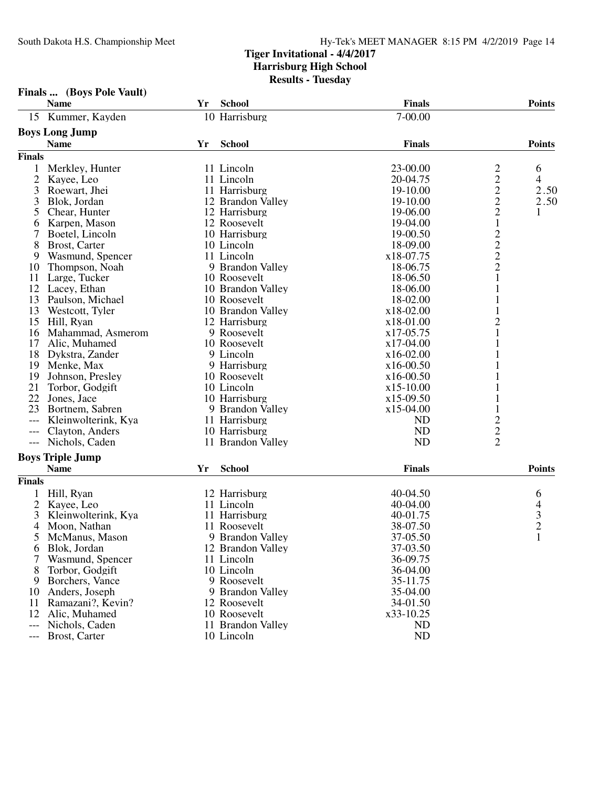|      | Finals  (Boys Pole Vault) |  |
|------|---------------------------|--|
| Name |                           |  |

|                     | <b>Name</b>             | Yr | <b>School</b>     | <b>Finals</b>  |                                            | <b>Points</b>                              |
|---------------------|-------------------------|----|-------------------|----------------|--------------------------------------------|--------------------------------------------|
|                     | 15 Kummer, Kayden       |    | 10 Harrisburg     | 7-00.00        |                                            |                                            |
|                     | <b>Boys Long Jump</b>   |    |                   |                |                                            |                                            |
|                     | <b>Name</b>             | Yr | <b>School</b>     | <b>Finals</b>  |                                            | <b>Points</b>                              |
| <b>Finals</b>       |                         |    |                   |                |                                            |                                            |
| 1                   | Merkley, Hunter         |    | 11 Lincoln        | 23-00.00       | 2                                          | 6                                          |
| 2                   | Kayee, Leo              |    | 11 Lincoln        | 20-04.75       | $\overline{c}$                             | 4                                          |
| 3                   | Roewart, Jhei           |    | 11 Harrisburg     | 19-10.00       | $\overline{c}$                             | 2.50                                       |
| 3                   | Blok, Jordan            |    | 12 Brandon Valley | 19-10.00       | $\overline{c}$                             | 2.50                                       |
| 5                   | Chear, Hunter           |    | 12 Harrisburg     | 19-06.00       | $\overline{c}$                             | 1                                          |
| 6                   | Karpen, Mason           |    | 12 Roosevelt      | 19-04.00       | $\mathbf{1}$                               |                                            |
| 7                   | Boetel, Lincoln         |    | 10 Harrisburg     | 19-00.50       |                                            |                                            |
| 8                   | Brost, Carter           |    | 10 Lincoln        | 18-09.00       |                                            |                                            |
| 9                   | Wasmund, Spencer        |    | 11 Lincoln        | x18-07.75      | $\begin{array}{c} 2 \\ 2 \\ 2 \end{array}$ |                                            |
| 10                  | Thompson, Noah          |    | 9 Brandon Valley  | 18-06.75       |                                            |                                            |
| 11                  | Large, Tucker           |    | 10 Roosevelt      | 18-06.50       | $\mathbf{1}$                               |                                            |
| 12                  | Lacey, Ethan            |    | 10 Brandon Valley | 18-06.00       | 1                                          |                                            |
| 13                  | Paulson, Michael        |    | 10 Roosevelt      | 18-02.00       |                                            |                                            |
| 13                  | Westcott, Tyler         |    | 10 Brandon Valley | x18-02.00      | 1                                          |                                            |
| 15                  | Hill, Ryan              |    | 12 Harrisburg     | x18-01.00      | $\overline{c}$                             |                                            |
| 16                  | Mahammad, Asmerom       |    | 9 Roosevelt       | x17-05.75      | 1                                          |                                            |
| 17                  | Alic, Muhamed           |    | 10 Roosevelt      | x17-04.00      |                                            |                                            |
| 18                  | Dykstra, Zander         |    | 9 Lincoln         | x16-02.00      |                                            |                                            |
| 19                  | Menke, Max              |    | 9 Harrisburg      | $x16-00.50$    |                                            |                                            |
| 19                  | Johnson, Presley        |    | 10 Roosevelt      | $x16-00.50$    |                                            |                                            |
| 21                  | Torbor, Godgift         |    | 10 Lincoln        | $x15-10.00$    |                                            |                                            |
| 22                  | Jones, Jace             |    | 10 Harrisburg     | $x15-09.50$    |                                            |                                            |
| 23                  | Bortnem, Sabren         |    | 9 Brandon Valley  | x15-04.00      | $\mathbf{1}$                               |                                            |
| $---$               | Kleinwolterink, Kya     |    | 11 Harrisburg     | N <sub>D</sub> |                                            |                                            |
| $---$               | Clayton, Anders         |    | 10 Harrisburg     | <b>ND</b>      |                                            |                                            |
| $\qquad \qquad - -$ | Nichols, Caden          |    | 11 Brandon Valley | <b>ND</b>      | $\frac{2}{2}$                              |                                            |
|                     |                         |    |                   |                |                                            |                                            |
|                     | <b>Boys Triple Jump</b> |    |                   |                |                                            |                                            |
|                     | <b>Name</b>             | Yr | <b>School</b>     | <b>Finals</b>  |                                            | <b>Points</b>                              |
| <b>Finals</b>       |                         |    |                   |                |                                            |                                            |
| 1                   | Hill, Ryan              |    | 12 Harrisburg     | 40-04.50       |                                            | 6                                          |
| $\overline{c}$      | Kayee, Leo              |    | 11 Lincoln        | 40-04.00       |                                            |                                            |
| 3                   | Kleinwolterink, Kya     |    | 11 Harrisburg     | 40-01.75       |                                            | $\begin{array}{c} 4 \\ 3 \\ 2 \end{array}$ |
| 4                   | Moon, Nathan            |    | 11 Roosevelt      | 38-07.50       |                                            |                                            |
| 5                   | McManus, Mason          |    | 9 Brandon Valley  | 37-05.50       |                                            | $\mathbf{1}$                               |
| 6                   | Blok, Jordan            |    | 12 Brandon Valley | 37-03.50       |                                            |                                            |
| 7                   | Wasmund, Spencer        |    | 11 Lincoln        | 36-09.75       |                                            |                                            |
| 8                   | Torbor, Godgift         |    | 10 Lincoln        | 36-04.00       |                                            |                                            |
| 9                   | Borchers, Vance         |    | 9 Roosevelt       | 35-11.75       |                                            |                                            |
| 10                  | Anders, Joseph          |    | 9 Brandon Valley  | 35-04.00       |                                            |                                            |
| 11                  | Ramazani?, Kevin?       |    | 12 Roosevelt      | 34-01.50       |                                            |                                            |
| 12                  | Alic, Muhamed           |    | 10 Roosevelt      | x33-10.25      |                                            |                                            |
| $---$               | Nichols, Caden          |    | 11 Brandon Valley | ND             |                                            |                                            |
|                     | Brost, Carter           |    | 10 Lincoln        | ND             |                                            |                                            |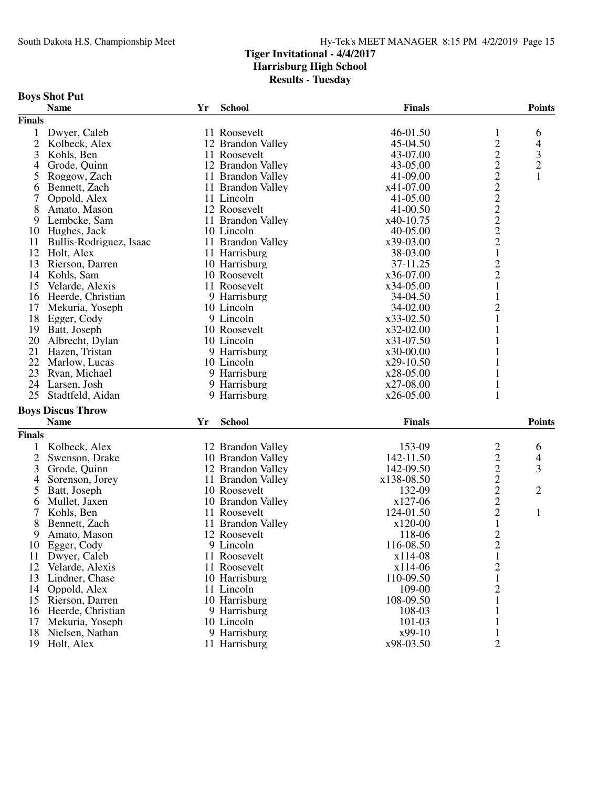|                | <b>Boys Shot Put</b>     |    |                   |               |                                            |                          |
|----------------|--------------------------|----|-------------------|---------------|--------------------------------------------|--------------------------|
|                | <b>Name</b>              | Yr | <b>School</b>     | <b>Finals</b> |                                            | <b>Points</b>            |
| <b>Finals</b>  |                          |    |                   |               |                                            |                          |
|                | 1 Dwyer, Caleb           |    | 11 Roosevelt      | 46-01.50      | 1                                          | 6                        |
| $\overline{c}$ | Kolbeck, Alex            |    | 12 Brandon Valley | 45-04.50      | $\overline{c}$                             | $\overline{\mathcal{A}}$ |
| 3              | Kohls, Ben               |    | 11 Roosevelt      | 43-07.00      | $\overline{c}$                             | 3                        |
| 4              | Grode, Quinn             |    | 12 Brandon Valley | 43-05.00      | $\overline{c}$                             | $\sqrt{2}$               |
| 5              | Roggow, Zach             |    | 11 Brandon Valley | 41-09.00      |                                            | 1                        |
| 6              | Bennett, Zach            |    | 11 Brandon Valley | x41-07.00     | $\begin{array}{c} 2 \\ 2 \\ 2 \end{array}$ |                          |
| 7              | Oppold, Alex             |    | 11 Lincoln        | 41-05.00      |                                            |                          |
| 8              | Amato, Mason             |    | 12 Roosevelt      | 41-00.50      |                                            |                          |
| 9              | Lembcke, Sam             |    | 11 Brandon Valley | x40-10.75     | $\overline{c}$                             |                          |
|                | 10 Hughes, Jack          |    | 10 Lincoln        | 40-05.00      | $\overline{c}$                             |                          |
| 11             | Bullis-Rodriguez, Isaac  |    | 11 Brandon Valley | x39-03.00     | $\overline{2}$                             |                          |
| 12             | Holt, Alex               |    | 11 Harrisburg     | 38-03.00      | $\mathbf{1}$                               |                          |
| 13             | Rierson, Darren          |    | 10 Harrisburg     | 37-11.25      | $\overline{c}$                             |                          |
| 14             | Kohls, Sam               |    | 10 Roosevelt      | x36-07.00     | $\overline{c}$                             |                          |
| 15             | Velarde, Alexis          |    | 11 Roosevelt      | x34-05.00     | $\mathbf{1}$                               |                          |
| 16             | Heerde, Christian        |    | 9 Harrisburg      | 34-04.50      | $\mathbf{1}$                               |                          |
| 17             | Mekuria, Yoseph          |    | 10 Lincoln        | 34-02.00      | $\overline{c}$                             |                          |
| 18             | Egger, Cody              |    | 9 Lincoln         | x33-02.50     | $\mathbf{1}$                               |                          |
| 19             | Batt, Joseph             |    | 10 Roosevelt      | x32-02.00     | 1                                          |                          |
| 20             | Albrecht, Dylan          |    | 10 Lincoln        | x31-07.50     | 1                                          |                          |
| 21             | Hazen, Tristan           |    | 9 Harrisburg      | x30-00.00     | 1                                          |                          |
| 22             | Marlow, Lucas            |    | 10 Lincoln        | $x29-10.50$   |                                            |                          |
| 23             | Ryan, Michael            |    | 9 Harrisburg      | x28-05.00     |                                            |                          |
| 24             | Larsen, Josh             |    | 9 Harrisburg      | x27-08.00     |                                            |                          |
| 25             | Stadtfeld, Aidan         |    | 9 Harrisburg      | $x26-05.00$   | 1                                          |                          |
|                |                          |    |                   |               |                                            |                          |
|                | <b>Boys Discus Throw</b> |    |                   |               |                                            |                          |
|                | <b>Name</b>              | Yr | <b>School</b>     | <b>Finals</b> |                                            | <b>Points</b>            |
| <b>Finals</b>  |                          |    |                   |               |                                            |                          |
| 1              | Kolbeck, Alex            |    | 12 Brandon Valley | 153-09        | $\overline{\mathbf{c}}$                    | 6                        |
| $\overline{c}$ | Swenson, Drake           |    | 10 Brandon Valley | 142-11.50     | $\overline{c}$                             | $\overline{\mathcal{A}}$ |
| 3              | Grode, Quinn             |    | 12 Brandon Valley | 142-09.50     | $\overline{c}$                             | 3                        |
| 4              | Sorenson, Jorey          |    | 11 Brandon Valley | x138-08.50    | $\overline{c}$                             |                          |
| 5              | Batt, Joseph             |    | 10 Roosevelt      | 132-09        | $\overline{c}$                             | $\overline{2}$           |
| 6              | Mullet, Jaxen            |    | 10 Brandon Valley | x127-06       | $\overline{c}$                             |                          |
| 7              | Kohls, Ben               |    | 11 Roosevelt      | 124-01.50     | $\overline{c}$                             | $\mathbf{1}$             |
| 8              | Bennett, Zach            |    | 11 Brandon Valley | x120-00       | $\mathbf{1}$                               |                          |
| 9              | Amato, Mason             |    | 12 Roosevelt      | 118-06        | $\overline{2}$                             |                          |
|                | 10 Egger, Cody           |    | 9 Lincoln         | 116-08.50     | $\overline{\mathbf{c}}$                    |                          |
|                | 11 Dwyer, Caleb          |    | 11 Roosevelt      | x114-08       | $\mathbf{1}$                               |                          |
| 12             | Velarde, Alexis          |    | 11 Roosevelt      | x114-06       | $\overline{c}$                             |                          |
|                | 13 Lindner, Chase        |    | 10 Harrisburg     | 110-09.50     | $\mathbf{1}$                               |                          |
|                | 14 Oppold, Alex          |    | 11 Lincoln        | 109-00        | 2                                          |                          |
|                | 15 Rierson, Darren       |    | 10 Harrisburg     | 108-09.50     | 1                                          |                          |
|                | 16 Heerde, Christian     |    | 9 Harrisburg      | 108-03        |                                            |                          |
| 17             | Mekuria, Yoseph          |    | 10 Lincoln        | 101-03        | 1                                          |                          |
|                | 18 Nielsen, Nathan       |    | 9 Harrisburg      | x99-10        | 1                                          |                          |
|                | 19 Holt, Alex            |    | 11 Harrisburg     | x98-03.50     | $\overline{2}$                             |                          |